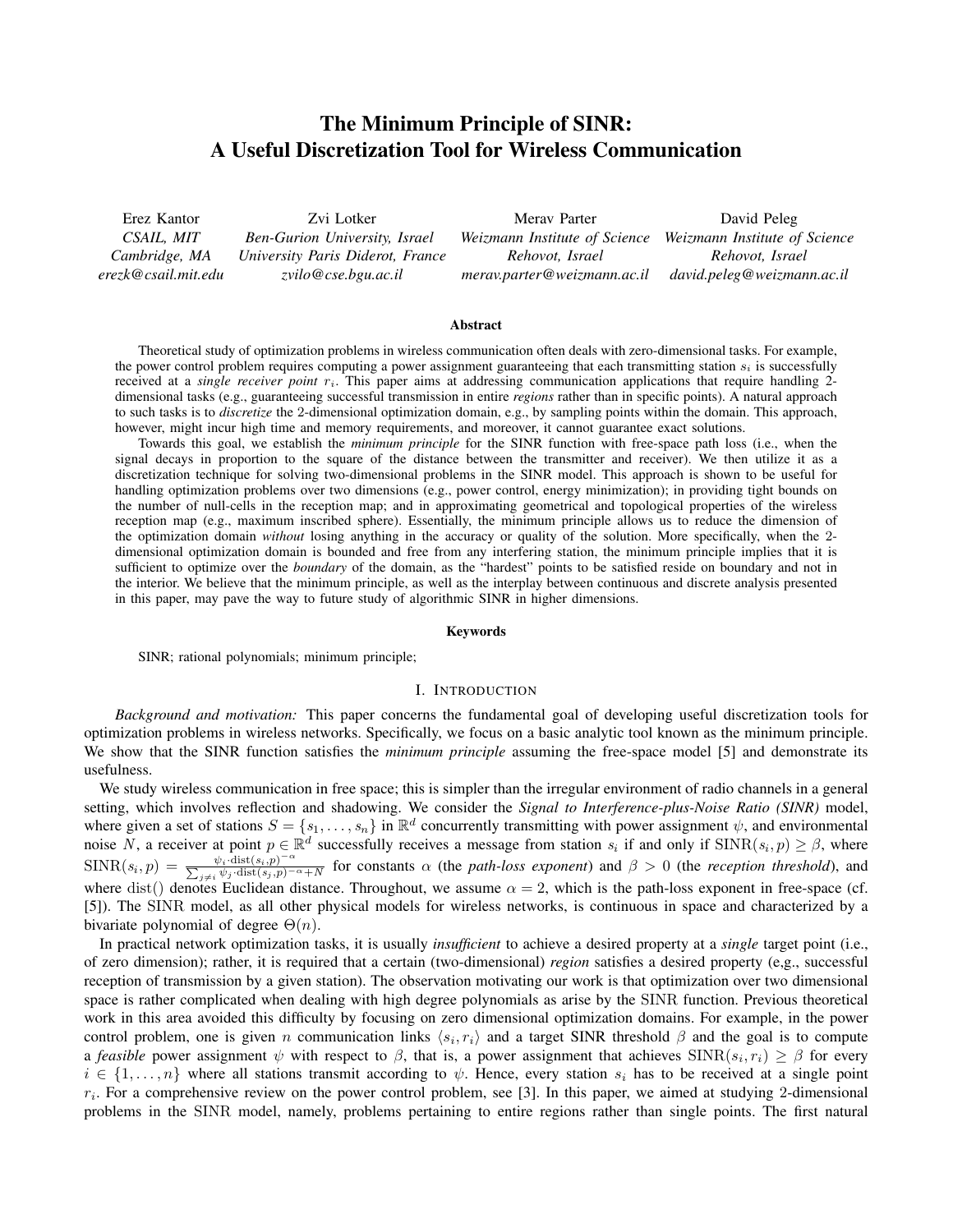# The Minimum Principle of SINR: A Useful Discretization Tool for Wireless Communication

Erez Kantor *CSAIL, MIT Cambridge, MA erezk@csail.mit.edu* Zvi Lotker *Ben-Gurion University, Israel University Paris Diderot, France zvilo@cse.bgu.ac.il* Merav Parter *Weizmann Institute of Science Rehovot, Israel merav.parter@weizmann.ac.il* David Peleg *Weizmann Institute of Science Rehovot, Israel david.peleg@weizmann.ac.il*

#### **Abstract**

Theoretical study of optimization problems in wireless communication often deals with zero-dimensional tasks. For example, the power control problem requires computing a power assignment guaranteeing that each transmitting station  $s_i$  is successfully received at a *single receiver point*  $r_i$ . This paper aims at addressing communication applications that require handling 2dimensional tasks (e.g., guaranteeing successful transmission in entire *regions* rather than in specific points). A natural approach to such tasks is to *discretize* the 2-dimensional optimization domain, e.g., by sampling points within the domain. This approach, however, might incur high time and memory requirements, and moreover, it cannot guarantee exact solutions.

Towards this goal, we establish the *minimum principle* for the SINR function with free-space path loss (i.e., when the signal decays in proportion to the square of the distance between the transmitter and receiver). We then utilize it as a discretization technique for solving two-dimensional problems in the SINR model. This approach is shown to be useful for handling optimization problems over two dimensions (e.g., power control, energy minimization); in providing tight bounds on the number of null-cells in the reception map; and in approximating geometrical and topological properties of the wireless reception map (e.g., maximum inscribed sphere). Essentially, the minimum principle allows us to reduce the dimension of the optimization domain *without* losing anything in the accuracy or quality of the solution. More specifically, when the 2 dimensional optimization domain is bounded and free from any interfering station, the minimum principle implies that it is sufficient to optimize over the *boundary* of the domain, as the "hardest" points to be satisfied reside on boundary and not in the interior. We believe that the minimum principle, as well as the interplay between continuous and discrete analysis presented in this paper, may pave the way to future study of algorithmic SINR in higher dimensions.

#### Keywords

SINR; rational polynomials; minimum principle;

### I. INTRODUCTION

*Background and motivation:* This paper concerns the fundamental goal of developing useful discretization tools for optimization problems in wireless networks. Specifically, we focus on a basic analytic tool known as the minimum principle. We show that the SINR function satisfies the *minimum principle* assuming the free-space model [5] and demonstrate its usefulness.

We study wireless communication in free space; this is simpler than the irregular environment of radio channels in a general setting, which involves reflection and shadowing. We consider the *Signal to Interference-plus-Noise Ratio (SINR)* model, where given a set of stations  $S = \{s_1, \ldots, s_n\}$  in  $\mathbb{R}^d$  concurrently transmitting with power assignment  $\psi$ , and environmental noise N, a receiver at point  $p \in \mathbb{R}^d$  successfully receives a message from station  $s_i$  if and only if  $\text{SINR}(s_i, p) \geq \beta$ , where  $\text{SINR}(s_i, p) = \frac{\psi_i \cdot \text{dist}(s_i, p)^{-\alpha}}{\sum_{i \in \mathcal{N}} \psi_i \cdot \text{dist}(s_i, p)^{-\alpha}}$  $\frac{\psi_i \cdot \text{dist}(s_i, p)}{\sum_{j \neq i} \psi_j \cdot \text{dist}(s_j, p) - \alpha + N}$  for constants  $\alpha$  (the *path-loss exponent*) and  $\beta > 0$  (the *reception threshold*), and where dist() denotes Euclidean distance. Throughout, we assume  $\alpha = 2$ , which is the path-loss exponent in free-space (cf. [5]). The SINR model, as all other physical models for wireless networks, is continuous in space and characterized by a bivariate polynomial of degree  $\Theta(n)$ .

In practical network optimization tasks, it is usually *insufficient* to achieve a desired property at a *single* target point (i.e., of zero dimension); rather, it is required that a certain (two-dimensional) *region* satisfies a desired property (e,g., successful reception of transmission by a given station). The observation motivating our work is that optimization over two dimensional space is rather complicated when dealing with high degree polynomials as arise by the SINR function. Previous theoretical work in this area avoided this difficulty by focusing on zero dimensional optimization domains. For example, in the power control problem, one is given *n* communication links  $\langle s_i, r_i \rangle$  and a target SINR threshold  $\beta$  and the goal is to compute a *feasible* power assignment  $\psi$  with respect to  $\beta$ , that is, a power assignment that achieves  $\text{SINR}(s_i, r_i) \geq \beta$  for every  $i \in \{1, \ldots, n\}$  where all stations transmit according to  $\psi$ . Hence, every station  $s_i$  has to be received at a single point  $r_i$ . For a comprehensive review on the power control problem, see [3]. In this paper, we aimed at studying 2-dimensional problems in the SINR model, namely, problems pertaining to entire regions rather than single points. The first natural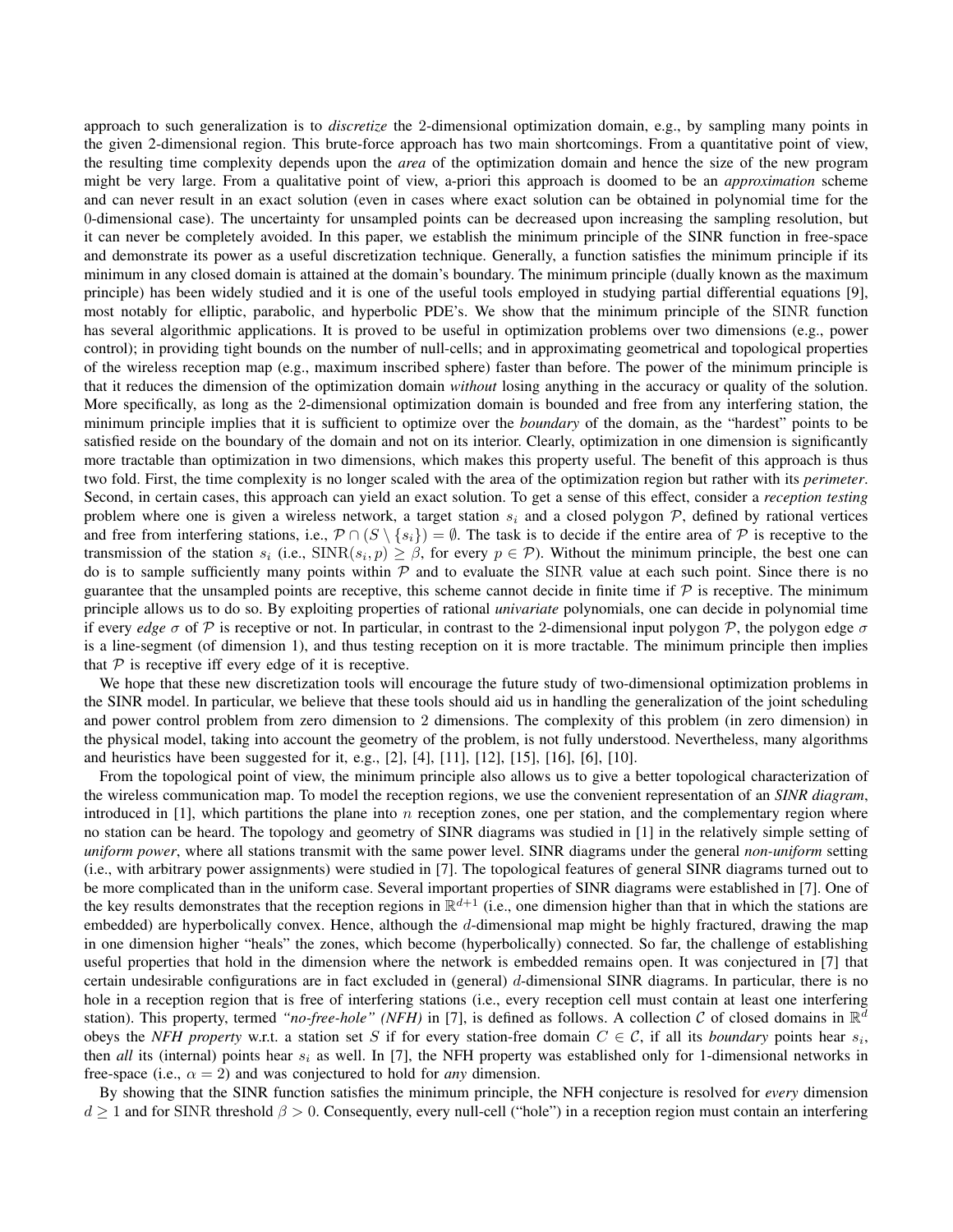approach to such generalization is to *discretize* the 2-dimensional optimization domain, e.g., by sampling many points in the given 2-dimensional region. This brute-force approach has two main shortcomings. From a quantitative point of view, the resulting time complexity depends upon the *area* of the optimization domain and hence the size of the new program might be very large. From a qualitative point of view, a-priori this approach is doomed to be an *approximation* scheme and can never result in an exact solution (even in cases where exact solution can be obtained in polynomial time for the 0-dimensional case). The uncertainty for unsampled points can be decreased upon increasing the sampling resolution, but it can never be completely avoided. In this paper, we establish the minimum principle of the SINR function in free-space and demonstrate its power as a useful discretization technique. Generally, a function satisfies the minimum principle if its minimum in any closed domain is attained at the domain's boundary. The minimum principle (dually known as the maximum principle) has been widely studied and it is one of the useful tools employed in studying partial differential equations [9], most notably for elliptic, parabolic, and hyperbolic PDE's. We show that the minimum principle of the SINR function has several algorithmic applications. It is proved to be useful in optimization problems over two dimensions (e.g., power control); in providing tight bounds on the number of null-cells; and in approximating geometrical and topological properties of the wireless reception map (e.g., maximum inscribed sphere) faster than before. The power of the minimum principle is that it reduces the dimension of the optimization domain *without* losing anything in the accuracy or quality of the solution. More specifically, as long as the 2-dimensional optimization domain is bounded and free from any interfering station, the minimum principle implies that it is sufficient to optimize over the *boundary* of the domain, as the "hardest" points to be satisfied reside on the boundary of the domain and not on its interior. Clearly, optimization in one dimension is significantly more tractable than optimization in two dimensions, which makes this property useful. The benefit of this approach is thus two fold. First, the time complexity is no longer scaled with the area of the optimization region but rather with its *perimeter*. Second, in certain cases, this approach can yield an exact solution. To get a sense of this effect, consider a *reception testing* problem where one is given a wireless network, a target station  $s_i$  and a closed polygon  $P$ , defined by rational vertices and free from interfering stations, i.e.,  $P \cap (S \setminus \{s_i\}) = \emptyset$ . The task is to decide if the entire area of P is receptive to the transmission of the station  $s_i$  (i.e.,  $SINR(s_i, p) \ge \beta$ , for every  $p \in \mathcal{P}$ ). Without the minimum principle, the best one can do is to sample sufficiently many points within  $P$  and to evaluate the SINR value at each such point. Since there is no guarantee that the unsampled points are receptive, this scheme cannot decide in finite time if  $P$  is receptive. The minimum principle allows us to do so. By exploiting properties of rational *univariate* polynomials, one can decide in polynomial time if every *edge*  $\sigma$  of P is receptive or not. In particular, in contrast to the 2-dimensional input polygon P, the polygon edge  $\sigma$ is a line-segment (of dimension 1), and thus testing reception on it is more tractable. The minimum principle then implies that  $P$  is receptive iff every edge of it is receptive.

We hope that these new discretization tools will encourage the future study of two-dimensional optimization problems in the SINR model. In particular, we believe that these tools should aid us in handling the generalization of the joint scheduling and power control problem from zero dimension to 2 dimensions. The complexity of this problem (in zero dimension) in the physical model, taking into account the geometry of the problem, is not fully understood. Nevertheless, many algorithms and heuristics have been suggested for it, e.g., [2], [4], [11], [12], [15], [16], [6], [10].

From the topological point of view, the minimum principle also allows us to give a better topological characterization of the wireless communication map. To model the reception regions, we use the convenient representation of an *SINR diagram*, introduced in  $[1]$ , which partitions the plane into n reception zones, one per station, and the complementary region where no station can be heard. The topology and geometry of SINR diagrams was studied in [1] in the relatively simple setting of *uniform power*, where all stations transmit with the same power level. SINR diagrams under the general *non-uniform* setting (i.e., with arbitrary power assignments) were studied in [7]. The topological features of general SINR diagrams turned out to be more complicated than in the uniform case. Several important properties of SINR diagrams were established in [7]. One of the key results demonstrates that the reception regions in  $\mathbb{R}^{d+1}$  (i.e., one dimension higher than that in which the stations are embedded) are hyperbolically convex. Hence, although the d-dimensional map might be highly fractured, drawing the map in one dimension higher "heals" the zones, which become (hyperbolically) connected. So far, the challenge of establishing useful properties that hold in the dimension where the network is embedded remains open. It was conjectured in [7] that certain undesirable configurations are in fact excluded in (general) d-dimensional SINR diagrams. In particular, there is no hole in a reception region that is free of interfering stations (i.e., every reception cell must contain at least one interfering station). This property, termed *"no-free-hole" (NFH)* in [7], is defined as follows. A collection C of closed domains in  $\mathbb{R}^d$ obeys the *NFH property* w.r.t. a station set S if for every station-free domain  $C \in \mathcal{C}$ , if all its *boundary* points hear  $s_i$ , then *all* its (internal) points hear  $s_i$  as well. In [7], the NFH property was established only for 1-dimensional networks in free-space (i.e.,  $\alpha = 2$ ) and was conjectured to hold for *any* dimension.

By showing that the SINR function satisfies the minimum principle, the NFH conjecture is resolved for *every* dimension  $d \geq 1$  and for SINR threshold  $\beta > 0$ . Consequently, every null-cell ("hole") in a reception region must contain an interfering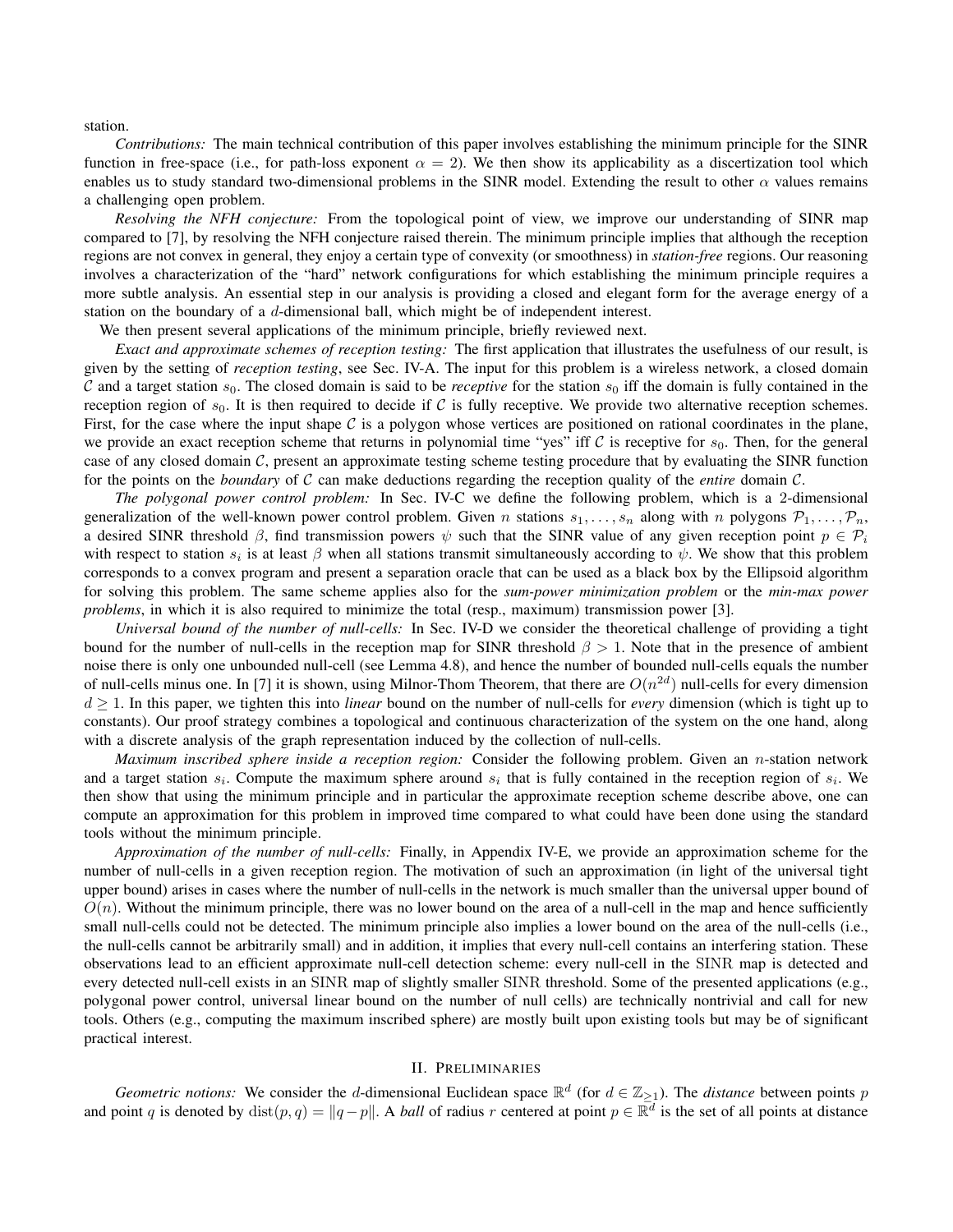station.

*Contributions:* The main technical contribution of this paper involves establishing the minimum principle for the SINR function in free-space (i.e., for path-loss exponent  $\alpha = 2$ ). We then show its applicability as a discertization tool which enables us to study standard two-dimensional problems in the SINR model. Extending the result to other  $\alpha$  values remains a challenging open problem.

*Resolving the NFH conjecture:* From the topological point of view, we improve our understanding of SINR map compared to [7], by resolving the NFH conjecture raised therein. The minimum principle implies that although the reception regions are not convex in general, they enjoy a certain type of convexity (or smoothness) in *station-free* regions. Our reasoning involves a characterization of the "hard" network configurations for which establishing the minimum principle requires a more subtle analysis. An essential step in our analysis is providing a closed and elegant form for the average energy of a station on the boundary of a d-dimensional ball, which might be of independent interest.

We then present several applications of the minimum principle, briefly reviewed next.

*Exact and approximate schemes of reception testing:* The first application that illustrates the usefulness of our result, is given by the setting of *reception testing*, see Sec. IV-A. The input for this problem is a wireless network, a closed domain C and a target station  $s_0$ . The closed domain is said to be *receptive* for the station  $s_0$  iff the domain is fully contained in the reception region of  $s_0$ . It is then required to decide if C is fully receptive. We provide two alternative reception schemes. First, for the case where the input shape  $\mathcal C$  is a polygon whose vertices are positioned on rational coordinates in the plane, we provide an exact reception scheme that returns in polynomial time "yes" iff C is receptive for  $s_0$ . Then, for the general case of any closed domain  $C$ , present an approximate testing scheme testing procedure that by evaluating the SINR function for the points on the *boundary* of C can make deductions regarding the reception quality of the *entire* domain C.

*The polygonal power control problem:* In Sec. IV-C we define the following problem, which is a 2-dimensional generalization of the well-known power control problem. Given n stations  $s_1, \ldots, s_n$  along with n polygons  $\mathcal{P}_1, \ldots, \mathcal{P}_n$ , a desired SINR threshold  $\beta$ , find transmission powers  $\psi$  such that the SINR value of any given reception point  $p \in \mathcal{P}_i$ with respect to station  $s_i$  is at least  $\beta$  when all stations transmit simultaneously according to  $\psi$ . We show that this problem corresponds to a convex program and present a separation oracle that can be used as a black box by the Ellipsoid algorithm for solving this problem. The same scheme applies also for the *sum-power minimization problem* or the *min-max power problems*, in which it is also required to minimize the total (resp., maximum) transmission power [3].

*Universal bound of the number of null-cells:* In Sec. IV-D we consider the theoretical challenge of providing a tight bound for the number of null-cells in the reception map for SINR threshold  $\beta > 1$ . Note that in the presence of ambient noise there is only one unbounded null-cell (see Lemma 4.8), and hence the number of bounded null-cells equals the number of null-cells minus one. In [7] it is shown, using Milnor-Thom Theorem, that there are  $O(n^{2d})$  null-cells for every dimension d ≥ 1. In this paper, we tighten this into *linear* bound on the number of null-cells for *every* dimension (which is tight up to constants). Our proof strategy combines a topological and continuous characterization of the system on the one hand, along with a discrete analysis of the graph representation induced by the collection of null-cells.

*Maximum inscribed sphere inside a reception region:* Consider the following problem. Given an n-station network and a target station  $s_i$ . Compute the maximum sphere around  $s_i$  that is fully contained in the reception region of  $s_i$ . We then show that using the minimum principle and in particular the approximate reception scheme describe above, one can compute an approximation for this problem in improved time compared to what could have been done using the standard tools without the minimum principle.

*Approximation of the number of null-cells:* Finally, in Appendix IV-E, we provide an approximation scheme for the number of null-cells in a given reception region. The motivation of such an approximation (in light of the universal tight upper bound) arises in cases where the number of null-cells in the network is much smaller than the universal upper bound of  $O(n)$ . Without the minimum principle, there was no lower bound on the area of a null-cell in the map and hence sufficiently small null-cells could not be detected. The minimum principle also implies a lower bound on the area of the null-cells (i.e., the null-cells cannot be arbitrarily small) and in addition, it implies that every null-cell contains an interfering station. These observations lead to an efficient approximate null-cell detection scheme: every null-cell in the SINR map is detected and every detected null-cell exists in an SINR map of slightly smaller SINR threshold. Some of the presented applications (e.g., polygonal power control, universal linear bound on the number of null cells) are technically nontrivial and call for new tools. Others (e.g., computing the maximum inscribed sphere) are mostly built upon existing tools but may be of significant practical interest.

### II. PRELIMINARIES

*Geometric notions:* We consider the *d*-dimensional Euclidean space  $\mathbb{R}^d$  (for  $d \in \mathbb{Z}_{\geq 1}$ ). The *distance* between points p and point q is denoted by  $dist(p, q) = ||q - p||$ . A *ball* of radius r centered at point  $p \in \mathbb{R}^d$  is the set of all points at distance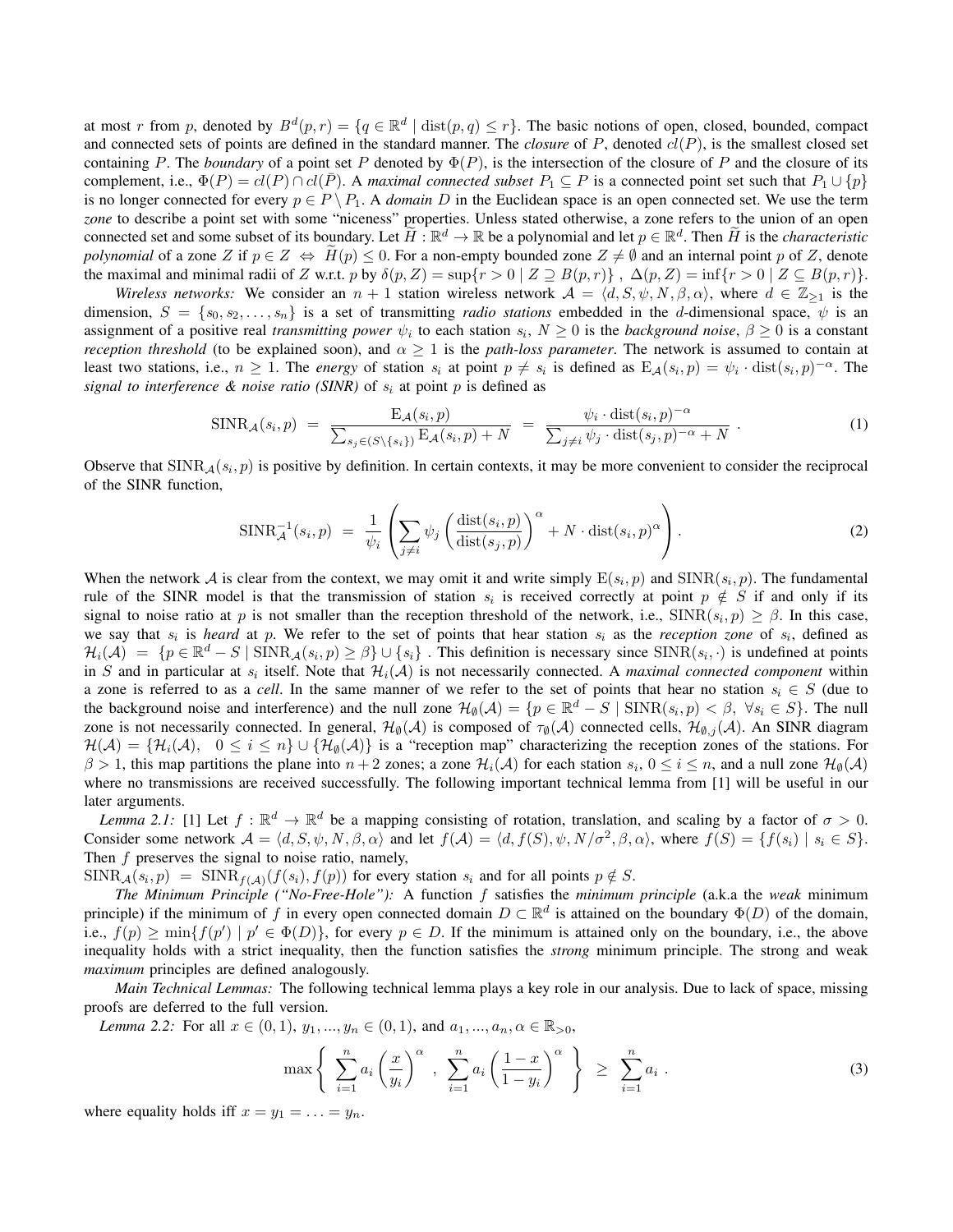at most r from p, denoted by  $B^d(p,r) = \{q \in \mathbb{R}^d \mid \text{dist}(p,q) \leq r\}$ . The basic notions of open, closed, bounded, compact and connected sets of points are defined in the standard manner. The *closure* of  $P$ , denoted  $cl(P)$ , is the smallest closed set containing P. The *boundary* of a point set P denoted by  $\Phi(P)$ , is the intersection of the closure of P and the closure of its complement, i.e.,  $\Phi(P) = cl(P) \cap cl(P)$ . A *maximal connected subset*  $P_1 \subseteq P$  is a connected point set such that  $P_1 \cup \{p\}$ is no longer connected for every  $p \in P \setminus P_1$ . A *domain* D in the Euclidean space is an open connected set. We use the term *zone* to describe a point set with some "niceness" properties. Unless stated otherwise, a zone refers to the union of an open connected set and some subset of its boundary. Let  $\widetilde{H} : \mathbb{R}^d \to \mathbb{R}$  be a polynomial and let  $p \in \mathbb{R}^d$ . Then  $\widetilde{H}$  is the *characteristic polynomial* of a zone Z if  $p \in Z \Leftrightarrow \widetilde{H}(p) \leq 0$ . For a non-empty bounded zone  $Z \neq \emptyset$  and an internal point p of Z, denote the maximal and minimal radii of Z w.r.t. p by  $\delta(p, Z) = \sup\{r > 0 \mid Z \supseteq B(p, r)\}\$ ,  $\Delta(p, Z) = \inf\{r > 0 \mid Z \subseteq B(p, r)\}\$ .

*Wireless networks:* We consider an  $n + 1$  station wireless network  $\mathcal{A} = \langle d, S, \psi, N, \beta, \alpha \rangle$ , where  $d \in \mathbb{Z}_{\geq 1}$  is the dimension,  $S = \{s_0, s_2, \ldots, s_n\}$  is a set of transmitting *radio stations* embedded in the d-dimensional space,  $\psi$  is an assignment of a positive real *transmitting power*  $\psi_i$  to each station  $s_i$ ,  $N \ge 0$  is the *background noise*,  $\beta \ge 0$  is a constant *reception threshold* (to be explained soon), and  $\alpha \geq 1$  is the *path-loss parameter*. The network is assumed to contain at least two stations, i.e.,  $n \ge 1$ . The *energy* of station  $s_i$  at point  $p \ne s_i$  is defined as  $E_{\mathcal{A}}(s_i, p) = \psi_i \cdot \text{dist}(s_i, p)^{-\alpha}$ . The *signal to interference & noise ratio (SINR)* of  $s_i$  at point p is defined as

$$
\text{SINR}_{\mathcal{A}}(s_i, p) = \frac{\mathbf{E}_{\mathcal{A}}(s_i, p)}{\sum_{s_j \in (S \setminus \{s_i\})} \mathbf{E}_{\mathcal{A}}(s_i, p) + N} = \frac{\psi_i \cdot \text{dist}(s_i, p)^{-\alpha}}{\sum_{j \neq i} \psi_j \cdot \text{dist}(s_j, p)^{-\alpha} + N} \ . \tag{1}
$$

Observe that  $SINR_{\mathcal{A}}(s_i, p)$  is positive by definition. In certain contexts, it may be more convenient to consider the reciprocal of the SINR function,

$$
\text{SINR}_{\mathcal{A}}^{-1}(s_i, p) = \frac{1}{\psi_i} \left( \sum_{j \neq i} \psi_j \left( \frac{\text{dist}(s_i, p)}{\text{dist}(s_j, p)} \right)^{\alpha} + N \cdot \text{dist}(s_i, p)^{\alpha} \right). \tag{2}
$$

When the network A is clear from the context, we may omit it and write simply  $E(s_i, p)$  and  $SINR(s_i, p)$ . The fundamental rule of the SINR model is that the transmission of station  $s_i$  is received correctly at point  $p \notin S$  if and only if its signal to noise ratio at p is not smaller than the reception threshold of the network, i.e.,  $\text{SINR}(s_i, p) \ge \beta$ . In this case, we say that  $s_i$  is *heard* at p. We refer to the set of points that hear station  $s_i$  as the *reception zone* of  $s_i$ , defined as  $\mathcal{H}_i(\mathcal{A}) = \{p \in \mathbb{R}^d - S \mid \text{SINR}_{\mathcal{A}}(s_i, p) \geq \beta\} \cup \{s_i\}$ . This definition is necessary since  $\text{SINR}(s_i, \cdot)$  is undefined at points in S and in particular at  $s_i$  itself. Note that  $\mathcal{H}_i(\mathcal{A})$  is not necessarily connected. A *maximal connected component* within a zone is referred to as a *cell*. In the same manner of we refer to the set of points that hear no station  $s_i \in S$  (due to the background noise and interference) and the null zone  $\mathcal{H}_{\emptyset}(\mathcal{A}) = \{p \in \mathbb{R}^d - S \mid \text{SINR}(s_i, p) < \beta, \ \forall s_i \in S\}$ . The null zone is not necessarily connected. In general,  $\mathcal{H}_{\emptyset}(\mathcal{A})$  is composed of  $\tau_{\emptyset}(\mathcal{A})$  connected cells,  $\mathcal{H}_{\emptyset,j}(\mathcal{A})$ . An SINR diagram  $\mathcal{H}(\mathcal{A}) = \{ \mathcal{H}_i(\mathcal{A}), 0 \leq i \leq n \} \cup \{ \mathcal{H}_0(\mathcal{A}) \}$  is a "reception map" characterizing the reception zones of the stations. For  $\beta > 1$ , this map partitions the plane into  $n + 2$  zones; a zone  $\mathcal{H}_i(\mathcal{A})$  for each station  $s_i$ ,  $0 \le i \le n$ , and a null zone  $\mathcal{H}_{\emptyset}(\mathcal{A})$ where no transmissions are received successfully. The following important technical lemma from [1] will be useful in our later arguments.

*Lemma 2.1:* [1] Let  $f : \mathbb{R}^d \to \mathbb{R}^d$  be a mapping consisting of rotation, translation, and scaling by a factor of  $\sigma > 0$ . Consider some network  $\mathcal{A} = \langle d, S, \psi, N, \beta, \alpha \rangle$  and let  $f(\mathcal{A}) = \langle d, f(S), \psi, N / \sigma^2, \beta, \alpha \rangle$ , where  $f(S) = \{f(s_i) \mid s_i \in S\}$ . Then f preserves the signal to noise ratio, namely,

 $\text{SINR}_{\mathcal{A}}(s_i, p) = \text{SINR}_{f(\mathcal{A})}(f(s_i), f(p))$  for every station  $s_i$  and for all points  $p \notin S$ .

*The Minimum Principle ("No-Free-Hole"):* A function f satisfies the *minimum principle* (a.k.a the *weak* minimum principle) if the minimum of f in every open connected domain  $D \subset \mathbb{R}^d$  is attained on the boundary  $\Phi(D)$  of the domain, i.e.,  $f(p) \ge \min\{f(p') \mid p' \in \Phi(D)\}\$ , for every  $p \in D$ . If the minimum is attained only on the boundary, i.e., the above inequality holds with a strict inequality, then the function satisfies the *strong* minimum principle. The strong and weak *maximum* principles are defined analogously.

*Main Technical Lemmas:* The following technical lemma plays a key role in our analysis. Due to lack of space, missing proofs are deferred to the full version.

*Lemma 2.2:* For all  $x \in (0,1)$ ,  $y_1, ..., y_n \in (0,1)$ , and  $a_1, ..., a_n, \alpha \in \mathbb{R}_{>0}$ ,

$$
\max\left\{\sum_{i=1}^n a_i \left(\frac{x}{y_i}\right)^{\alpha}, \sum_{i=1}^n a_i \left(\frac{1-x}{1-y_i}\right)^{\alpha}\right\} \ge \sum_{i=1}^n a_i.
$$
 (3)

where equality holds iff  $x = y_1 = \ldots = y_n$ .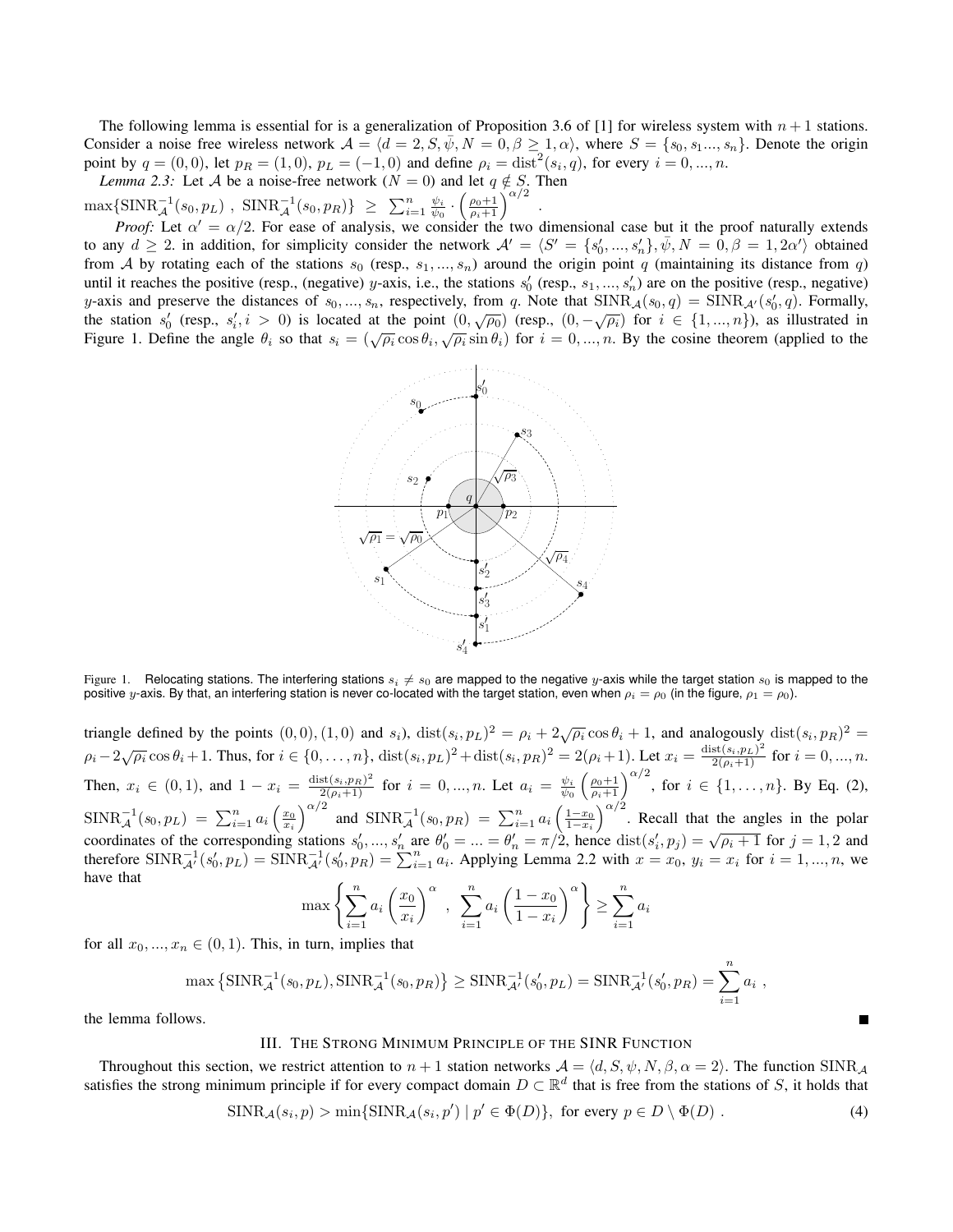The following lemma is essential for is a generalization of Proposition 3.6 of [1] for wireless system with  $n+1$  stations. Consider a noise free wireless network  $A = \langle d = 2, S, \overline{\psi}, N = 0, \beta \ge 1, \alpha \rangle$ , where  $S = \{s_0, s_1, \ldots, s_n\}$ . Denote the origin point by  $q = (0, 0)$ , let  $p_R = (1, 0)$ ,  $p_L = (-1, 0)$  and define  $\rho_i = \text{dist}^2(s_i, q)$ , for every  $i = 0, ..., n$ .

*Lemma 2.3:* Let A be a noise-free network ( $N = 0$ ) and let  $q \notin S$ . Then

 $\max\{{\rm SINR}_{\cal A}^{-1}(s_0, p_L)\,\,,\,\, {\rm SINR}_{\cal A}^{-1}(s_0, p_R)\} \,\, \geq \,\, \sum_{i=1}^n \frac{\psi_i}{\psi_0} \cdot \left(\frac{\rho_0+1}{\rho_i+1}\right)^{\alpha/2}\,\, .$ 

*Proof:* Let  $\alpha' = \alpha/2$ . For ease of analysis, we consider the two dimensional case but it the proof naturally extends to any  $d \ge 2$ . in addition, for simplicity consider the network  $\mathcal{A}' = \langle S' = \{s'_0, ..., s'_n\}, \bar{\psi}, N = 0, \beta = 1, 2\alpha'\rangle$  obtained from A by rotating each of the stations  $s_0$  (resp.,  $s_1, ..., s_n$ ) around the origin point q (maintaining its distance from q) until it reaches the positive (resp., (negative) y-axis, i.e., the stations  $s'_0$  (resp.,  $s_1, ..., s'_n$ ) are on the positive (resp., negative) y-axis and preserve the distances of  $s_0, ..., s_n$ , respectively, from q. Note that  $SINR_{\mathcal{A}}(s_0, q) = SINR_{\mathcal{A}'}(s'_0, q)$ . Formally, the station  $s'_0$  (resp.,  $s'_i, i > 0$ ) is located at the point  $(0, \sqrt{\rho_0})$  (resp.,  $(0, -\sqrt{\rho_i})$  for  $i \in \{1, ..., n\}$ ), as illustrated in Figure 1. Define the angle  $\theta_i$  so that  $s_i = (\sqrt{\rho_i} \cos \theta_i, \sqrt{\rho_i} \sin \theta_i)$  for  $i = 0, ..., n$ . By the cosine theorem (applied to the



Figure 1. Relocating stations. The interfering stations  $s_i \neq s_0$  are mapped to the negative y-axis while the target station  $s_0$  is mapped to the positive y-axis. By that, an interfering station is never co-located with the target station, even when  $\rho_i = \rho_0$  (in the figure,  $\rho_1 = \rho_0$ ).

triangle defined by the points  $(0,0), (1,0)$  and  $s_i$ ,  $dist(s_i, p_L)^2 = \rho_i + 2\sqrt{\rho_i} \cos \theta_i + 1$ , and analogously  $dist(s_i, p_R)^2 =$  $\rho_i - 2\sqrt{\rho_i} \cos \theta_i + 1$ . Thus, for  $i \in \{0, ..., n\}$ ,  $\text{dist}(s_i, p_L)^2 + \text{dist}(s_i, p_R)^2 = 2(\rho_i + 1)$ . Let  $x_i = \frac{\text{dist}(s_i, p_L)^2}{2(\rho_i + 1)}$  for  $i = 0, ..., n$ . Then,  $x_i \in (0,1)$ , and  $1 - x_i = \frac{\text{dist}(s_i, p_R)^2}{2(\rho_i + 1)}$  for  $i = 0, ..., n$ . Let  $a_i = \frac{\psi_i}{\psi_0} \left(\frac{\rho_0 + 1}{\rho_i + 1}\right)^{\alpha/2}$ , for  $i \in \{1, ..., n\}$ . By Eq. (2),  $\text{SINR}_{\mathcal{A}}^{-1}(s_0, p_L) = \sum_{i=1}^n a_i \left(\frac{x_0}{x_i}\right)^{\alpha/2}$  and  $\text{SINR}_{\mathcal{A}}^{-1}(s_0, p_R) = \sum_{i=1}^n a_i \left(\frac{1-x_0}{1-x_i}\right)^{\alpha/2}$ . Recall that the angles in the polar coordinates of the corresponding stations  $s'_0, ..., s'_n$  are  $\theta'_0 = ... = \theta'_n = \pi/2$ , hence  $dist(s'_i, p_j) = \sqrt{\rho_i + 1}$  for  $j = 1, 2$  and therefore  $SINR^{-1}_{\mathcal{A}'}(s'_0, p_L) = \overline{SINR^{-1}_{\mathcal{A}'}(s'_0, p_R)} = \sum_{i=1}^n a_i$ . Applying Lemma 2.2 with  $x = x_0$ ,  $y_i = x_i$  for  $i = 1, ..., n$ , we have that<br>  $\max \left\{ \sum_{i=1}^{n} a_i \left( \frac{x_0}{x_0} \right)^{\alpha}, \sum_{i=1}^{n} a_i \left( \frac{1-x_0}{x_0} \right)^{\alpha} \right\} \ge \sum_{i=1}^{n} a_i$ 

$$
\max \left\{ \sum_{i=1}^{n} a_i \left( \frac{x_0}{x_i} \right)^{\alpha} , \sum_{i=1}^{n} a_i \left( \frac{1-x_0}{1-x_i} \right)^{\alpha} \right\} \ge \sum_{i=1}^{n} a_i
$$

for all  $x_0, ..., x_n \in (0, 1)$ . This, in turn, implies that

$$
\max \left\{ \text{SINR}_{\mathcal{A}}^{-1}(s_0, p_L), \text{SINR}_{\mathcal{A}}^{-1}(s_0, p_R) \right\} \geq \text{SINR}_{\mathcal{A}'}^{-1}(s'_0, p_L) = \text{SINR}_{\mathcal{A}'}^{-1}(s'_0, p_R) = \sum_{i=1}^n a_i ,
$$

the lemma follows.

### III. THE STRONG MINIMUM PRINCIPLE OF THE SINR FUNCTION

Throughout this section, we restrict attention to  $n + 1$  station networks  $\mathcal{A} = \langle d, S, \psi, N, \beta, \alpha = 2 \rangle$ . The function SINR<sub>A</sub> satisfies the strong minimum principle if for every compact domain  $D \subset \mathbb{R}^d$  that is free from the stations of S, it holds that

 $\text{SINR}_{\mathcal{A}}(s_i, p) > \min\{\text{SINR}_{\mathcal{A}}(s_i, p') \mid p' \in \Phi(D)\},\ \text{for every } p \in D \setminus \Phi(D)$ . (4)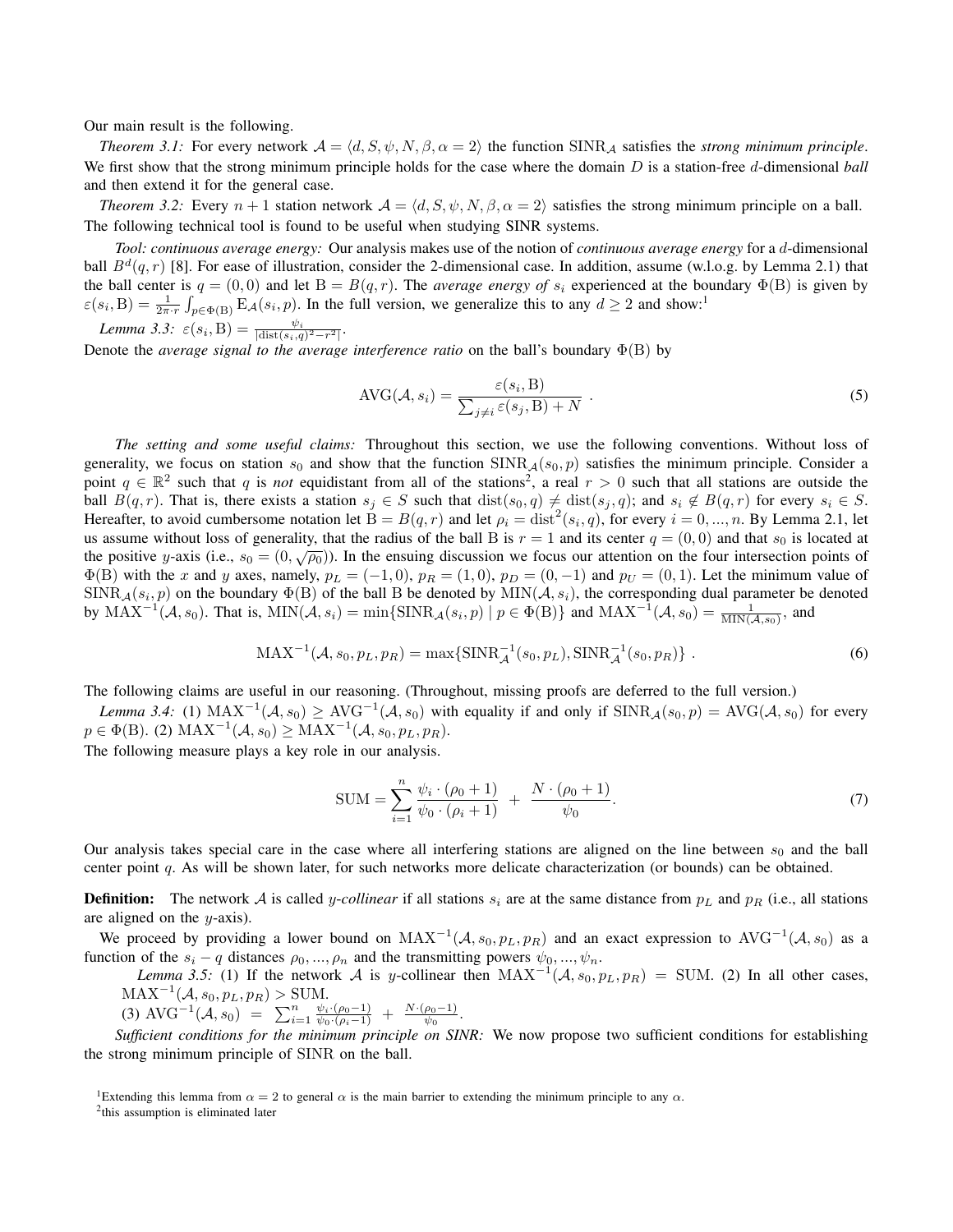Our main result is the following.

*Theorem 3.1:* For every network  $A = \langle d, S, \psi, N, \beta, \alpha = 2 \rangle$  the function SINR<sub>A</sub> satisfies the *strong minimum principle*. We first show that the strong minimum principle holds for the case where the domain D is a station-free d-dimensional *ball* and then extend it for the general case.

*Theorem 3.2:* Every  $n + 1$  station network  $\mathcal{A} = \langle d, S, \psi, N, \beta, \alpha = 2 \rangle$  satisfies the strong minimum principle on a ball. The following technical tool is found to be useful when studying SINR systems.

*Tool: continuous average energy:* Our analysis makes use of the notion of *continuous average energy* for a d-dimensional ball  $B^d(q, r)$  [8]. For ease of illustration, consider the 2-dimensional case. In addition, assume (w.l.o.g. by Lemma 2.1) that the ball center is  $q = (0, 0)$  and let  $B = B(q, r)$ . The *average energy of*  $s_i$  experienced at the boundary  $\Phi(B)$  is given by  $\varepsilon(s_i, B) = \frac{1}{2\pi \cdot r} \int_{p \in \Phi(B)} E_{\mathcal{A}}(s_i, p)$ . In the full version, we generalize this to any  $d \ge 2$  and show:

$$
Lemma 3.3: \ \varepsilon(s_i, B) = \frac{\psi_i}{|\text{dist}(s_i, q)^2 - r^2|}
$$

Denote the *average signal to the average interference ratio* on the ball's boundary Φ(B) by

.

$$
AVG(\mathcal{A}, s_i) = \frac{\varepsilon(s_i, B)}{\sum_{j \neq i} \varepsilon(s_j, B) + N} \tag{5}
$$

*The setting and some useful claims:* Throughout this section, we use the following conventions. Without loss of generality, we focus on station  $s_0$  and show that the function  $SINR_{\mathcal{A}}(s_0, p)$  satisfies the minimum principle. Consider a point  $q \in \mathbb{R}^2$  such that q is *not* equidistant from all of the stations<sup>2</sup>, a real  $r > 0$  such that all stations are outside the ball  $B(q, r)$ . That is, there exists a station  $s_j \in S$  such that  $dist(s_0, q) \neq dist(s_j, q)$ ; and  $s_i \notin B(q, r)$  for every  $s_i \in S$ . Hereafter, to avoid cumbersome notation let  $\dot{B} = B(q, r)$  and let  $\rho_i = \text{dist}^2(s_i, q)$ , for every  $i = 0, ..., n$ . By Lemma 2.1, let us assume without loss of generality, that the radius of the ball B is  $r = 1$  and its center  $q = (0, 0)$  and that  $s_0$  is located at the positive y-axis (i.e.,  $s_0 = (0, \sqrt{\rho_0})$ ). In the ensuing discussion we focus our attention on the four intersection points of  $\Phi$ (B) with the x and y axes, namely,  $p_L = (-1, 0)$ ,  $p_R = (1, 0)$ ,  $p_D = (0, -1)$  and  $p_U = (0, 1)$ . Let the minimum value of  $SINR_{\mathcal{A}}(s_i, p)$  on the boundary  $\Phi(B)$  of the ball B be denoted by  $MIN(\mathcal{A}, s_i)$ , the corresponding dual parameter be denoted by  $\text{MAX}^{-1}(\mathcal{A}, s_0)$ . That is,  $\text{MIN}(\mathcal{A}, s_i) = \min \{ \text{SINR}_{\mathcal{A}}(s_i, p) \mid p \in \Phi(\text{B}) \}$  and  $\text{MAX}^{-1}(\mathcal{A}, s_0) = \frac{1}{\text{MIN}(\mathcal{A}, s_0)}$ , and

$$
MAX^{-1}(\mathcal{A}, s_0, p_L, p_R) = \max\{SINR_{\mathcal{A}}^{-1}(s_0, p_L), SINR_{\mathcal{A}}^{-1}(s_0, p_R)\}.
$$
 (6)

The following claims are useful in our reasoning. (Throughout, missing proofs are deferred to the full version.)

*Lemma 3.4:* (1)  $\text{MAX}^{-1}(\mathcal{A}, s_0) \geq \text{AVG}^{-1}(\mathcal{A}, s_0)$  with equality if and only if  $\text{SINR}_{\mathcal{A}}(s_0, p) = \text{AVG}(\mathcal{A}, s_0)$  for every  $p \in \Phi(B)$ . (2)  $\text{MAX}^{-1}(\mathcal{A}, s_0) \geq \text{MAX}^{-1}(\mathcal{A}, s_0, p_L, p_R)$ .

The following measure plays a key role in our analysis.

$$
SUM = \sum_{i=1}^{n} \frac{\psi_i \cdot (\rho_0 + 1)}{\psi_0 \cdot (\rho_i + 1)} + \frac{N \cdot (\rho_0 + 1)}{\psi_0}.
$$
\n(7)

Our analysis takes special care in the case where all interfering stations are aligned on the line between  $s_0$  and the ball center point q. As will be shown later, for such networks more delicate characterization (or bounds) can be obtained.

**Definition:** The network A is called y-collinear if all stations  $s_i$  are at the same distance from  $p_L$  and  $p_R$  (i.e., all stations are aligned on the  $y$ -axis).

We proceed by providing a lower bound on  $MAX^{-1}(\mathcal{A}, s_0, p_L, p_R)$  and an exact expression to  $AVG^{-1}(\mathcal{A}, s_0)$  as a function of the  $s_i - q$  distances  $\rho_0, ..., \rho_n$  and the transmitting powers  $\psi_0, ..., \psi_n$ .

*Lemma 3.5:* (1) If the network A is y-collinear then  $MAX^{-1}(A, s_0, p_L, p_R) = SUM$ . (2) In all other cases,  $MAX^{-1}(\mathcal{A}, s_0, p_L, p_R) \geq \text{SUM}.$ 

$$
(3) \text{ AVG}^{-1}(\mathcal{A}, s_0) = \sum_{i=1}^n \frac{\psi_i \cdot (\rho_0 - 1)}{\psi_0 \cdot (\rho_i - 1)} + \frac{N \cdot (\rho_0 - 1)}{\psi_0}.
$$

*Sufficient conditions for the minimum principle on SINR:* We now propose two sufficient conditions for establishing the strong minimum principle of SINR on the ball.

<sup>1</sup>Extending this lemma from  $\alpha = 2$  to general  $\alpha$  is the main barrier to extending the minimum principle to any  $\alpha$ .

<sup>&</sup>lt;sup>2</sup>this assumption is eliminated later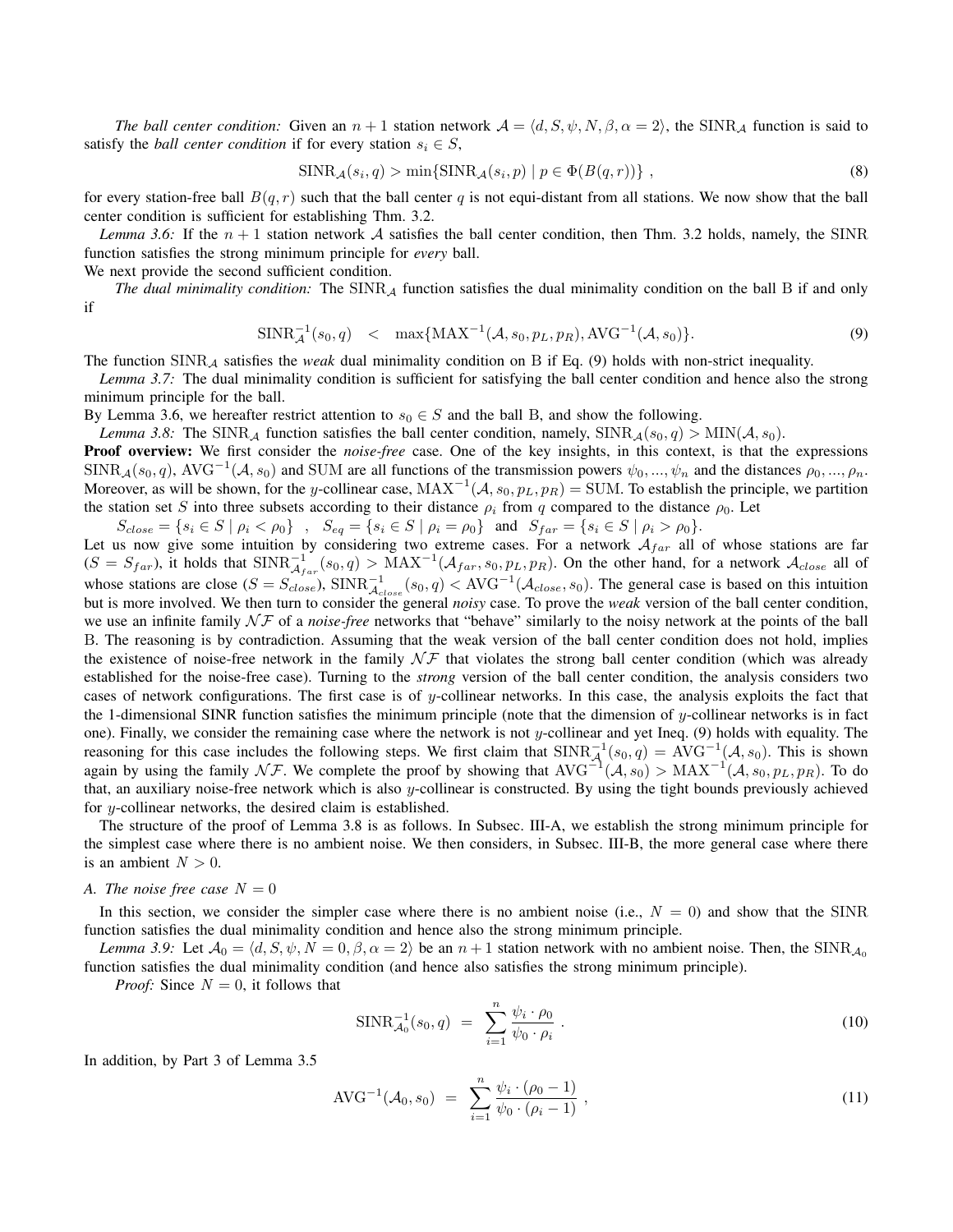*The ball center condition:* Given an  $n + 1$  station network  $\mathcal{A} = \langle d, S, \psi, N, \beta, \alpha = 2 \rangle$ , the SINR<sub>A</sub> function is said to satisfy the *ball center condition* if for every station  $s_i \in S$ ,

$$
\text{SINR}_{\mathcal{A}}(s_i, q) > \min\{\text{SINR}_{\mathcal{A}}(s_i, p) \mid p \in \Phi(B(q, r))\},\tag{8}
$$

for every station-free ball  $B(q, r)$  such that the ball center q is not equi-distant from all stations. We now show that the ball center condition is sufficient for establishing Thm. 3.2.

*Lemma 3.6:* If the  $n + 1$  station network A satisfies the ball center condition, then Thm. 3.2 holds, namely, the SINR function satisfies the strong minimum principle for *every* ball.

We next provide the second sufficient condition.

*The dual minimality condition:* The  $SINR_A$  function satisfies the dual minimality condition on the ball B if and only if

$$
\text{SINR}_{\mathcal{A}}^{-1}(s_0, q) \quad < \quad \max\{\text{MAX}^{-1}(\mathcal{A}, s_0, p_L, p_R), \text{AVG}^{-1}(\mathcal{A}, s_0)\}. \tag{9}
$$

The function SINR<sup>A</sup> satisfies the *weak* dual minimality condition on B if Eq. (9) holds with non-strict inequality.

*Lemma 3.7:* The dual minimality condition is sufficient for satisfying the ball center condition and hence also the strong minimum principle for the ball.

By Lemma 3.6, we hereafter restrict attention to  $s_0 \in S$  and the ball B, and show the following.

*Lemma 3.8:* The SINR<sub>A</sub> function satisfies the ball center condition, namely,  $SINR_A(s_0, q) > MIN(\mathcal{A}, s_0)$ .

Proof overview: We first consider the *noise-free* case. One of the key insights, in this context, is that the expressions  $\text{SINR}_{\mathcal{A}}(s_0, q)$ ,  $\text{AVG}^{-1}(\mathcal{A}, s_0)$  and SUM are all functions of the transmission powers  $\psi_0, ..., \psi_n$  and the distances  $\rho_0, ..., \rho_n$ . Moreover, as will be shown, for the y-collinear case,  $MAX^{-1}(A, s_0, p_L, p_R) = SUM$ . To establish the principle, we partition the station set S into three subsets according to their distance  $\rho_i$  from q compared to the distance  $\rho_0$ . Let

 $S_{close} = \{ s_i \in S \mid \rho_i < \rho_0 \}$ ,  $S_{eq} = \{ s_i \in S \mid \rho_i = \rho_0 \}$  and  $S_{far} = \{ s_i \in S \mid \rho_i > \rho_0 \}$ .

Let us now give some intuition by considering two extreme cases. For a network  $A_{far}$  all of whose stations are far  $(S = S_{far})$ , it holds that  $SINR^{-1}_{A_{far}}(s_0, q) > MAX^{-1}(A_{far}, s_0, p_L, p_R)$ . On the other hand, for a network  $A_{close}$  all of whose stations are close ( $S = S_{close}$ ),  $SINR^{-1}_{A_{close}}(s_0, q) < AVG^{-1}(A_{close}, s_0)$ . The general case is based on this intuition but is more involved. We then turn to consider the general *noisy* case. To prove the *weak* version of the ball center condition, we use an infinite family  $\mathcal{N} \mathcal{F}$  of a *noise-free* networks that "behave" similarly to the noisy network at the points of the ball B. The reasoning is by contradiction. Assuming that the weak version of the ball center condition does not hold, implies the existence of noise-free network in the family  $N\mathcal{F}$  that violates the strong ball center condition (which was already established for the noise-free case). Turning to the *strong* version of the ball center condition, the analysis considers two cases of network configurations. The first case is of y-collinear networks. In this case, the analysis exploits the fact that the 1-dimensional SINR function satisfies the minimum principle (note that the dimension of y-collinear networks is in fact one). Finally, we consider the remaining case where the network is not y-collinear and yet Ineq. (9) holds with equality. The reasoning for this case includes the following steps. We first claim that  $SINR^{-1}(s_0, q) = AVG^{-1}(A, s_0)$ . This is shown again by using the family NF. We complete the proof by showing that  $AVG^{-1}(A, s_0) > MAX^{-1}(A, s_0, p_L, p_R)$ . To do that, an auxiliary noise-free network which is also y-collinear is constructed. By using the tight bounds previously achieved for y-collinear networks, the desired claim is established.

The structure of the proof of Lemma 3.8 is as follows. In Subsec. III-A, we establish the strong minimum principle for the simplest case where there is no ambient noise. We then considers, in Subsec. III-B, the more general case where there is an ambient  $N > 0$ .

### *A. The noise free case*  $N = 0$

In this section, we consider the simpler case where there is no ambient noise (i.e.,  $N = 0$ ) and show that the SINR function satisfies the dual minimality condition and hence also the strong minimum principle.

*Lemma 3.9:* Let  $\mathcal{A}_0 = \langle d, S, \psi, N = 0, \beta, \alpha = 2 \rangle$  be an  $n + 1$  station network with no ambient noise. Then, the SINR $\mathcal{A}_0$ function satisfies the dual minimality condition (and hence also satisfies the strong minimum principle).

*Proof:* Since  $N = 0$ , it follows that

$$
SINR_{\mathcal{A}_0}^{-1}(s_0, q) = \sum_{i=1}^n \frac{\psi_i \cdot \rho_0}{\psi_0 \cdot \rho_i} \ . \tag{10}
$$

In addition, by Part 3 of Lemma 3.5

$$
AVG^{-1}(\mathcal{A}_0, s_0) = \sum_{i=1}^n \frac{\psi_i \cdot (\rho_0 - 1)}{\psi_0 \cdot (\rho_i - 1)}, \qquad (11)
$$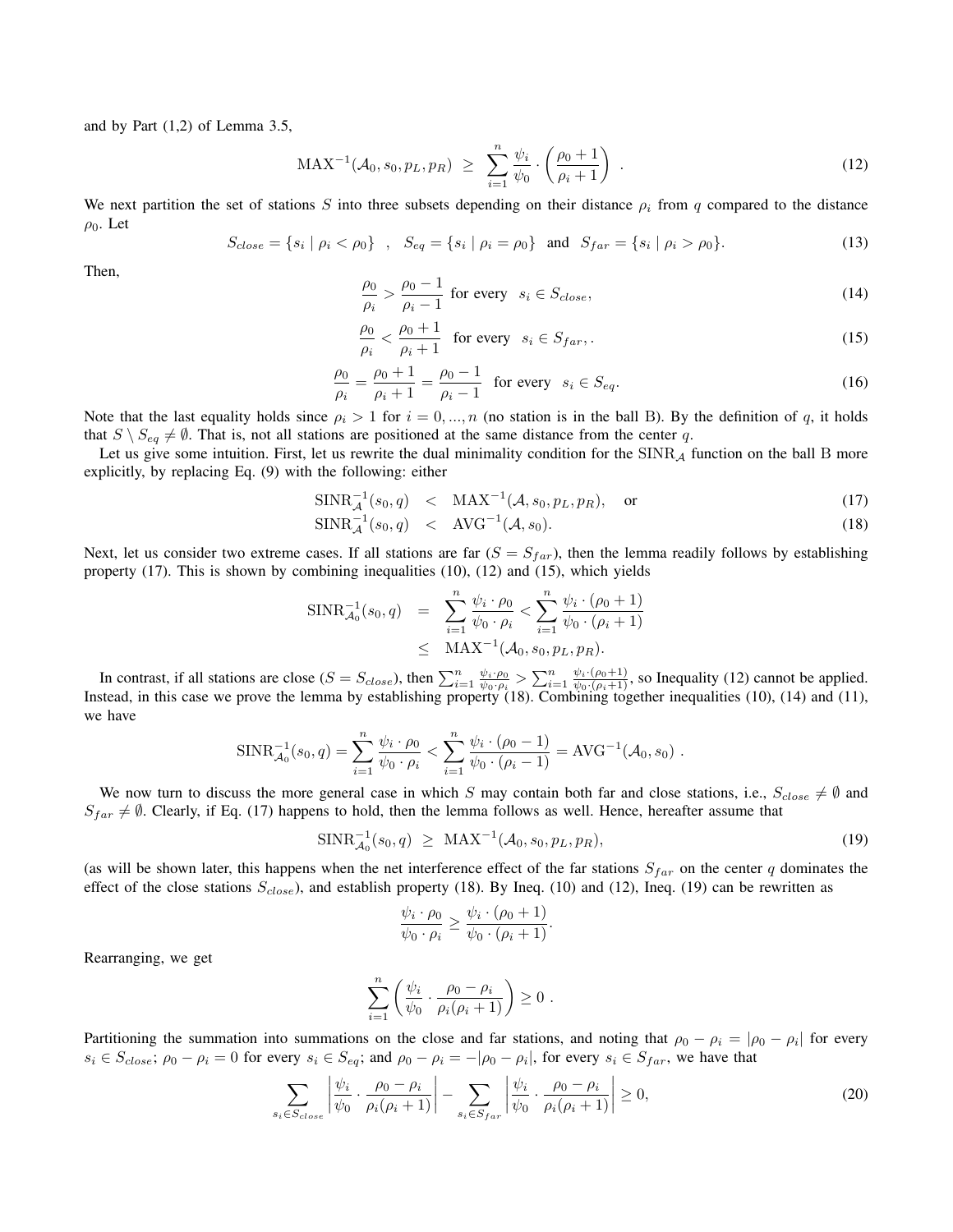and by Part  $(1,2)$  of Lemma 3.5,

$$
\text{MAX}^{-1}(\mathcal{A}_0, s_0, p_L, p_R) \geq \sum_{i=1}^n \frac{\psi_i}{\psi_0} \cdot \left(\frac{\rho_0 + 1}{\rho_i + 1}\right) \tag{12}
$$

We next partition the set of stations S into three subsets depending on their distance  $\rho_i$  from q compared to the distance  $\rho_0$ . Let

$$
S_{close} = \{ s_i \mid \rho_i < \rho_0 \}, \quad S_{eq} = \{ s_i \mid \rho_i = \rho_0 \} \quad \text{and} \quad S_{far} = \{ s_i \mid \rho_i > \rho_0 \}. \tag{13}
$$

Then,

$$
\frac{\rho_0}{\rho_i} > \frac{\rho_0 - 1}{\rho_i - 1} \text{ for every } s_i \in S_{close},
$$
\n(14)

$$
\frac{\rho_0}{\rho_i} < \frac{\rho_0 + 1}{\rho_i + 1} \quad \text{for every} \quad s_i \in S_{far}, \tag{15}
$$

$$
\frac{\rho_0}{\rho_i} = \frac{\rho_0 + 1}{\rho_i + 1} = \frac{\rho_0 - 1}{\rho_i - 1} \text{ for every } s_i \in S_{eq}.
$$
 (16)

Note that the last equality holds since  $\rho_i > 1$  for  $i = 0, ..., n$  (no station is in the ball B). By the definition of q, it holds that  $S \setminus S_{eq} \neq \emptyset$ . That is, not all stations are positioned at the same distance from the center q.

Let us give some intuition. First, let us rewrite the dual minimality condition for the  $SINR_A$  function on the ball B more explicitly, by replacing Eq. (9) with the following: either

$$
\text{SINR}_{\mathcal{A}}^{-1}(s_0, q) \quad < \quad \text{MAX}^{-1}(\mathcal{A}, s_0, p_L, p_R), \quad \text{or} \tag{17}
$$

$$
\text{SINR}_{\mathcal{A}}^{-1}(s_0, q) \quad < \quad \text{AVG}^{-1}(\mathcal{A}, s_0). \tag{18}
$$

Next, let us consider two extreme cases. If all stations are far  $(S = S<sub>far</sub>)$ , then the lemma readily follows by establishing property (17). This is shown by combining inequalities (10), (12) and (15), which yields

$$
\begin{array}{rcl} \text{SINR}_{\mathcal{A}_0}^{-1}(s_0, q) & = & \sum_{i=1}^n \frac{\psi_i \cdot \rho_0}{\psi_0 \cdot \rho_i} < \sum_{i=1}^n \frac{\psi_i \cdot (\rho_0 + 1)}{\psi_0 \cdot (\rho_i + 1)} \\ & \leq & \text{MAX}^{-1}(\mathcal{A}_0, s_0, p_L, p_R). \end{array}
$$

In contrast, if all stations are close ( $S = S_{close}$ ), then  $\sum_{i=1}^{n} \frac{\psi_i \cdot \rho_0}{\psi_0 \cdot \rho_i} > \sum_{i=1}^{n} \frac{\psi_i \cdot (\rho_0 + 1)}{\psi_0 \cdot (\rho_i + 1)}$ , so Inequality (12) cannot be applied. Instead, in this case we prove the lemma by establishing property (18). Combining together inequalities (10), (14) and (11), we have

$$
\text{SINR}_{\mathcal{A}_0}^{-1}(s_0, q) = \sum_{i=1}^n \frac{\psi_i \cdot \rho_0}{\psi_0 \cdot \rho_i} < \sum_{i=1}^n \frac{\psi_i \cdot (\rho_0 - 1)}{\psi_0 \cdot (\rho_i - 1)} = \text{AVG}^{-1}(\mathcal{A}_0, s_0) \; .
$$

We now turn to discuss the more general case in which S may contain both far and close stations, i.e.,  $S_{close} \neq \emptyset$  and  $S_{far} \neq \emptyset$ . Clearly, if Eq. (17) happens to hold, then the lemma follows as well. Hence, hereafter assume that

$$
SINR_{\mathcal{A}_0}^{-1}(s_0, q) \geq \text{MAX}^{-1}(\mathcal{A}_0, s_0, p_L, p_R), \tag{19}
$$

(as will be shown later, this happens when the net interference effect of the far stations  $S_{far}$  on the center q dominates the effect of the close stations  $S_{close}$ ), and establish property (18). By Ineq. (10) and (12), Ineq. (19) can be rewritten as

$$
\frac{\psi_i \cdot \rho_0}{\psi_0 \cdot \rho_i} \ge \frac{\psi_i \cdot (\rho_0 + 1)}{\psi_0 \cdot (\rho_i + 1)}.
$$

Rearranging, we get

$$
\sum_{i=1}^n \left( \frac{\psi_i}{\psi_0} \cdot \frac{\rho_0 - \rho_i}{\rho_i(\rho_i + 1)} \right) \ge 0.
$$

Partitioning the summation into summations on the close and far stations, and noting that  $\rho_0 - \rho_i = |\rho_0 - \rho_i|$  for every  $s_i \in S_{close}$ ;  $\rho_0 - \rho_i = 0$  for every  $s_i \in S_{eq}$ ; and  $\rho_0 - \rho_i = -|\rho_0 - \rho_i|$ , for every  $s_i \in S_{far}$ , we have that

$$
\sum_{s_i \in S_{close}} \left| \frac{\psi_i}{\psi_0} \cdot \frac{\rho_0 - \rho_i}{\rho_i(\rho_i + 1)} \right| - \sum_{s_i \in S_{far}} \left| \frac{\psi_i}{\psi_0} \cdot \frac{\rho_0 - \rho_i}{\rho_i(\rho_i + 1)} \right| \ge 0,
$$
\n(20)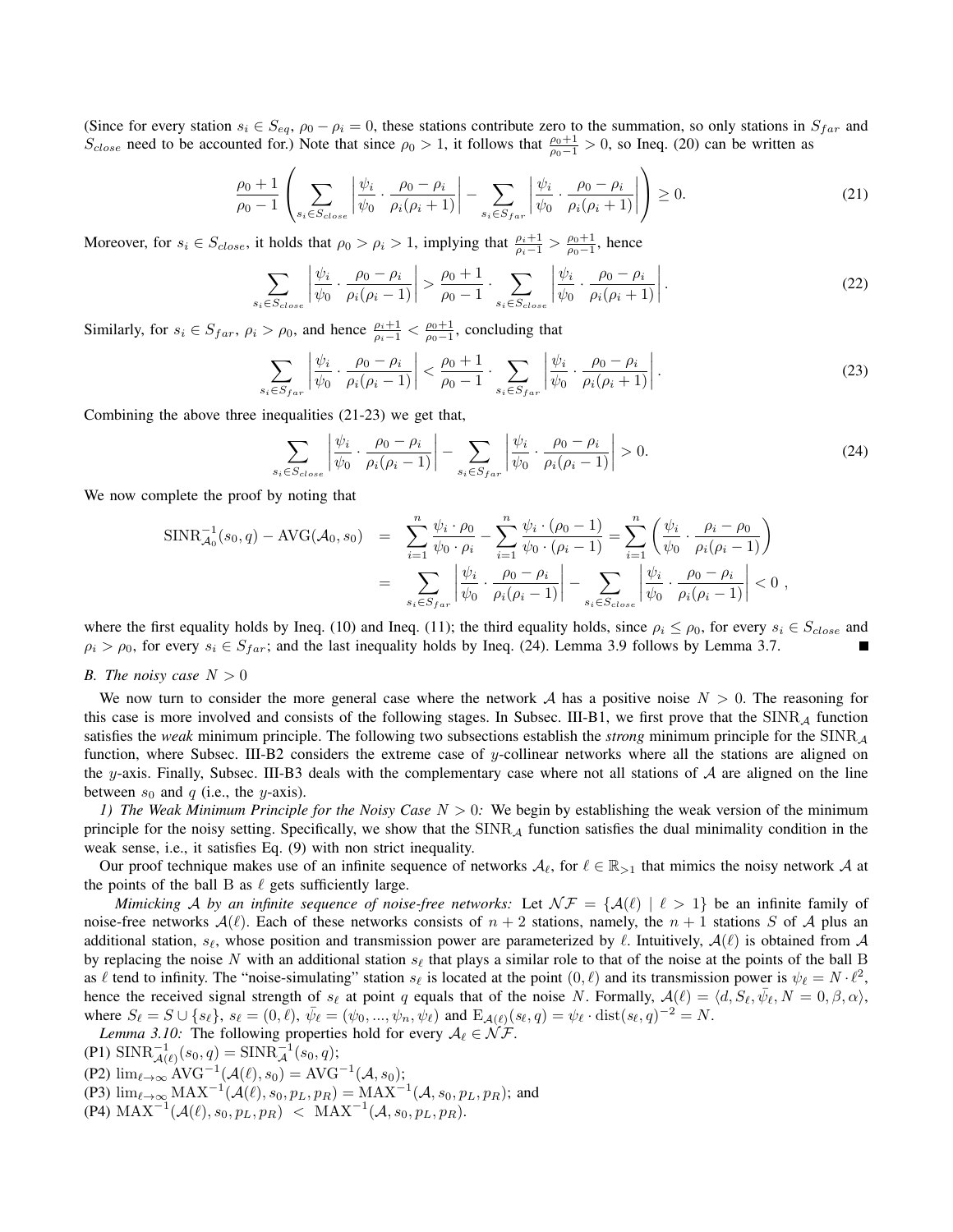(Since for every station  $s_i \in S_{eq}$ ,  $\rho_0 - \rho_i = 0$ , these stations contribute zero to the summation, so only stations in  $S_{far}$  and  $S_{close}$  need to be accounted for.) Note that since  $\rho_0 > 1$ , it follows that  $\frac{\rho_0+1}{\rho_0-1} > 0$ , so Ineq. (20) can be written as

$$
\frac{\rho_0 + 1}{\rho_0 - 1} \left( \sum_{s_i \in S_{close}} \left| \frac{\psi_i}{\psi_0} \cdot \frac{\rho_0 - \rho_i}{\rho_i(\rho_i + 1)} \right| - \sum_{s_i \in S_{far}} \left| \frac{\psi_i}{\psi_0} \cdot \frac{\rho_0 - \rho_i}{\rho_i(\rho_i + 1)} \right| \right) \ge 0. \tag{21}
$$

Moreover, for  $s_i \in S_{close}$ , it holds that  $\rho_0 > \rho_i > 1$ , implying that  $\frac{\rho_i+1}{\rho_i-1} > \frac{\rho_0+1}{\rho_0-1}$ , hence

$$
\sum_{s_i \in S_{close}} \left| \frac{\psi_i}{\psi_0} \cdot \frac{\rho_0 - \rho_i}{\rho_i(\rho_i - 1)} \right| > \frac{\rho_0 + 1}{\rho_0 - 1} \cdot \sum_{s_i \in S_{close}} \left| \frac{\psi_i}{\psi_0} \cdot \frac{\rho_0 - \rho_i}{\rho_i(\rho_i + 1)} \right|.
$$
\n(22)

Similarly, for  $s_i \in S_{far}$ ,  $\rho_i > \rho_0$ , and hence  $\frac{\rho_i+1}{\rho_i-1} < \frac{\rho_0+1}{\rho_0-1}$ , concluding that

$$
\sum_{s_i \in S_{far}} \left| \frac{\psi_i}{\psi_0} \cdot \frac{\rho_0 - \rho_i}{\rho_i(\rho_i - 1)} \right| < \frac{\rho_0 + 1}{\rho_0 - 1} \cdot \sum_{s_i \in S_{far}} \left| \frac{\psi_i}{\psi_0} \cdot \frac{\rho_0 - \rho_i}{\rho_i(\rho_i + 1)} \right|.
$$
\n
$$
\tag{23}
$$

Combining the above three inequalities (21-23) we get that,

$$
\sum_{s_i \in S_{close}} \left| \frac{\psi_i}{\psi_0} \cdot \frac{\rho_0 - \rho_i}{\rho_i(\rho_i - 1)} \right| - \sum_{s_i \in S_{far}} \left| \frac{\psi_i}{\psi_0} \cdot \frac{\rho_0 - \rho_i}{\rho_i(\rho_i - 1)} \right| > 0. \tag{24}
$$

We now complete the proof by noting that

$$
\begin{split} \text{SINR}_{\mathcal{A}_0}^{-1}(s_0, q) - \text{AVG}(\mathcal{A}_0, s_0) &= \sum_{i=1}^n \frac{\psi_i \cdot \rho_0}{\psi_0 \cdot \rho_i} - \sum_{i=1}^n \frac{\psi_i \cdot (\rho_0 - 1)}{\psi_0 \cdot (\rho_i - 1)} = \sum_{i=1}^n \left( \frac{\psi_i}{\psi_0} \cdot \frac{\rho_i - \rho_0}{\rho_i(\rho_i - 1)} \right) \\ &= \sum_{s_i \in S_{far}} \left| \frac{\psi_i}{\psi_0} \cdot \frac{\rho_0 - \rho_i}{\rho_i(\rho_i - 1)} \right| - \sum_{s_i \in S_{close}} \left| \frac{\psi_i}{\psi_0} \cdot \frac{\rho_0 - \rho_i}{\rho_i(\rho_i - 1)} \right| < 0 \;, \end{split}
$$

where the first equality holds by Ineq. (10) and Ineq. (11); the third equality holds, since  $\rho_i \le \rho_0$ , for every  $s_i \in S_{close}$  and  $\rho_i > \rho_0$ , for every  $s_i \in S_{close}$  and the last inequality holds by Ineq. (24). Lemma 3.9 fo  $\rho_i > \rho_0$ , for every  $s_i \in S_{far}$ ; and the last inequality holds by Ineq. (24). Lemma 3.9 follows by Lemma 3.7.

## *B.* The noisy case  $N > 0$

We now turn to consider the more general case where the network A has a positive noise  $N > 0$ . The reasoning for this case is more involved and consists of the following stages. In Subsec. III-B1, we first prove that the  $SINR_A$  function satisfies the *weak* minimum principle. The following two subsections establish the *strong* minimum principle for the SINR<sup>A</sup> function, where Subsec. III-B2 considers the extreme case of y-collinear networks where all the stations are aligned on the y-axis. Finally, Subsec. III-B3 deals with the complementary case where not all stations of  $A$  are aligned on the line between  $s_0$  and q (i.e., the y-axis).

*1) The Weak Minimum Principle for the Noisy Case* N > 0*:* We begin by establishing the weak version of the minimum principle for the noisy setting. Specifically, we show that the  $SINR_A$  function satisfies the dual minimality condition in the weak sense, i.e., it satisfies Eq. (9) with non strict inequality.

Our proof technique makes use of an infinite sequence of networks  $A_\ell$ , for  $\ell \in \mathbb{R}_{>1}$  that mimics the noisy network A at the points of the ball B as  $\ell$  gets sufficiently large.

*Mimicking* A *by an infinite sequence of noise-free networks:* Let  $\mathcal{NF} = \{ \mathcal{A}(\ell) \mid \ell > 1 \}$  be an infinite family of noise-free networks  $\mathcal{A}(\ell)$ . Each of these networks consists of  $n + 2$  stations, namely, the  $n + 1$  stations S of A plus an additional station,  $s_\ell$ , whose position and transmission power are parameterized by  $\ell$ . Intuitively,  $\mathcal{A}(\ell)$  is obtained from  $\mathcal A$ by replacing the noise N with an additional station  $s_\ell$  that plays a similar role to that of the noise at the points of the ball B as  $\ell$  tend to infinity. The "noise-simulating" station  $s_\ell$  is located at the point  $(0, \ell)$  and its transmission power is  $\psi_\ell = N \cdot \ell^2$ , hence the received signal strength of  $s_\ell$  at point q equals that of the noise N. Formally,  $A(\ell) = \langle d, S_\ell, \bar{\psi}_\ell, N = 0, \beta, \alpha \rangle$ , where  $S_{\ell} = S \cup \{s_{\ell}\}, s_{\ell} = (0, \ell), \bar{\psi}_{\ell} = (\psi_0, ..., \psi_n, \psi_{\ell})$  and  $E_{\mathcal{A}(\ell)}(s_{\ell}, q) = \psi_{\ell} \cdot \text{dist}(s_{\ell}, q)^{-2} = N$ .

*Lemma 3.10:* The following properties hold for every  $A_\ell \in \mathcal{NF}$ .

- (P1)  $\text{SINR}_{\mathcal{A}(\ell)}^{-1}(s_0, q) = \text{SINR}_{\mathcal{A}}^{-1}(s_0, q);$
- (P2)  $\lim_{\ell \to \infty} \text{AVG}^{-1}(\mathcal{A}(\ell), s_0) = \text{AVG}^{-1}(\mathcal{A}, s_0);$
- (P3)  $\lim_{\ell \to \infty}$  MAX<sup>-1</sup>( $\mathcal{A}(\ell), s_0, p_L, p_R$ ) = MAX<sup>-1</sup>( $\mathcal{A}, s_0, p_L, p_R$ ); and
- (P4)  $\text{MAX}^{-1}(\mathcal{A}(\ell), s_0, p_L, p_R) < \text{MAX}^{-1}(\mathcal{A}, s_0, p_L, p_R).$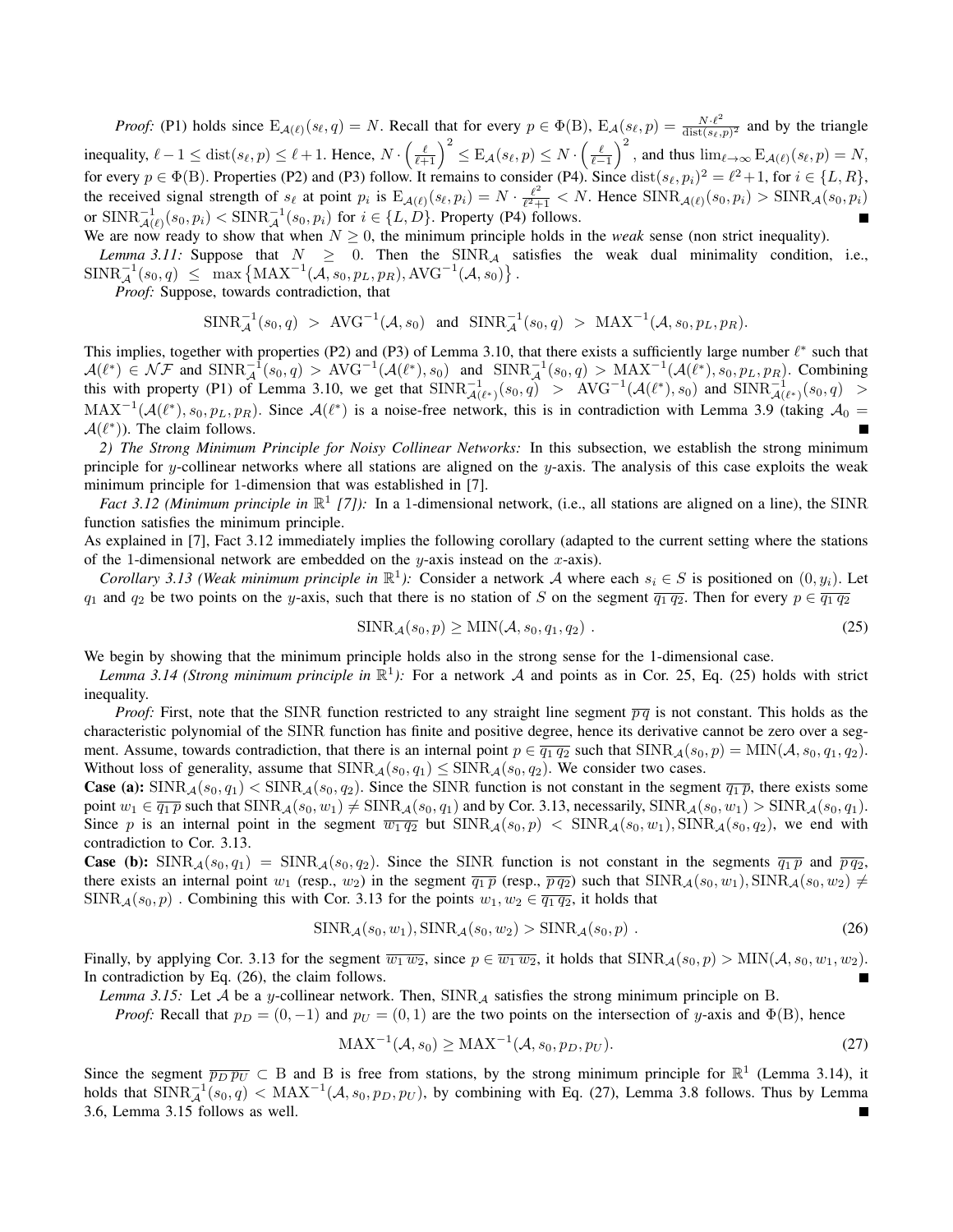*Proof:* (P1) holds since  $E_{\mathcal{A}(\ell)}(s_{\ell}, q) = N$ . Recall that for every  $p \in \Phi(B)$ ,  $E_{\mathcal{A}}(s_{\ell}, p) = \frac{N \cdot \ell^2}{\text{dist}(s_{\ell}, p)}$  $\frac{N \cdot \ell^2}{\text{dist}(s_\ell, p)^2}$  and by the triangle inequality,  $\ell - 1 \leq \text{dist}(s_\ell, p) \leq \ell + 1$ . Hence,  $N \cdot \left(\frac{\ell}{\ell+1}\right)^2 \leq \text{E}_{\mathcal{A}}(s_\ell, p) \leq N \cdot \left(\frac{\ell}{\ell-1}\right)^2$ , and thus  $\lim_{\ell \to \infty} \text{E}_{\mathcal{A}(\ell)}(s_\ell, p) = N$ , for every  $p \in \Phi(B)$ . Properties (P2) and (P3) follow. It remains to consider (P4). Since  $dist(s_\ell, p_i)^2 = \ell^2 + 1$ , for  $i \in \{L, R\}$ , the received signal strength of  $s_\ell$  at point  $p_i$  is  $E_{\mathcal{A}(\ell)}(s_\ell, p_i) = N \cdot \frac{\ell^2}{\ell^2 + 1}$  $\frac{\ell^2}{\ell^2+1}$  < N. Hence SINR<sub>A( $\ell$ )</sub>( $s_0, p_i$ ) > SINR<sub>A</sub>( $s_0, p_i$ ) or  $\text{SINR}_{\mathcal{A}(\ell)}^{-1}(s_0, p_i) < \text{SINR}_{\mathcal{A}}^{-1}(s_0, p_i)$  for  $i \in \{L, D\}$ . Property (P4) follows.

We are now ready to show that when  $N \geq 0$ , the minimum principle holds in the *weak* sense (non strict inequality).

*Lemma 3.11:* Suppose that  $N \geq 0$ . Then the SINR<sub>A</sub> satisfies the weak dual minimality condition, i.e.,  $\text{SINR}_{\mathcal{A}}^{-1}(s_0, q) \leq \max \left\{ \text{MAX}^{-1}(\mathcal{A}, s_0, p_L, p_R), \text{AVG}^{-1}(\mathcal{A}, s_0) \right\}.$ 

*Proof:* Suppose, towards contradiction, that

$$
\text{SINR}_{\mathcal{A}}^{-1}(s_0, q) > \text{AVG}^{-1}(\mathcal{A}, s_0) \text{ and } \text{SINR}_{\mathcal{A}}^{-1}(s_0, q) > \text{MAX}^{-1}(\mathcal{A}, s_0, p_L, p_R).
$$

This implies, together with properties (P2) and (P3) of Lemma 3.10, that there exists a sufficiently large number  $\ell^*$  such that  $\mathcal{A}(\ell^*) \in \mathcal{NF}$  and  $\text{SINR}_{\mathcal{A}}^{-1}(s_0, q) > \text{AVG}^{-1}(\mathcal{A}(\ell^*), s_0)$  and  $\text{SINR}_{\mathcal{A}}^{-1}(s_0, q) > \text{MAX}^{-1}(\mathcal{A}(\ell^*), s_0, p_L, p_R)$ . Combining this with property (P1) of Lemma 3.10, we get that  $SINR^{-1}_{\mathcal{A}(\ell^*)}(s_0, q) > AVG^{-1}(\mathcal{A}(\ell^*), s_0)$  and  $SINR^{-1}_{\mathcal{A}(\ell^*)}(s_0, q) >$  $MAX^{-1}(\mathcal{A}(\ell^*), s_0, p_L, p_R)$ . Since  $\mathcal{A}(\ell^*)$  is a noise-free network, this is in contradiction with Lemma 3.9 (taking  $\mathcal{A}_0 =$  $\mathcal{A}(\ell^*)$ ). The claim follows.

*2) The Strong Minimum Principle for Noisy Collinear Networks:* In this subsection, we establish the strong minimum principle for y-collinear networks where all stations are aligned on the y-axis. The analysis of this case exploits the weak minimum principle for 1-dimension that was established in [7].

*Fact 3.12 (Minimum principle in*  $\mathbb{R}^1$  [7]): In a 1-dimensional network, (i.e., all stations are aligned on a line), the SINR function satisfies the minimum principle.

As explained in [7], Fact 3.12 immediately implies the following corollary (adapted to the current setting where the stations of the 1-dimensional network are embedded on the  $y$ -axis instead on the x-axis).

*Corollary 3.13 (Weak minimum principle in*  $\mathbb{R}^1$ ): Consider a network A where each  $s_i \in S$  is positioned on  $(0, y_i)$ . Let  $q_1$  and  $q_2$  be two points on the y-axis, such that there is no station of S on the segment  $\overline{q_1 q_2}$ . Then for every  $p \in \overline{q_1 q_2}$ 

$$
\text{SINR}_{\mathcal{A}}(s_0, p) \ge \text{MIN}(\mathcal{A}, s_0, q_1, q_2) \tag{25}
$$

We begin by showing that the minimum principle holds also in the strong sense for the 1-dimensional case.

*Lemma 3.14 (Strong minimum principle in*  $\mathbb{R}^1$ ): For a network A and points as in Cor. 25, Eq. (25) holds with strict inequality.

*Proof:* First, note that the SINR function restricted to any straight line segment  $\overline{pq}$  is not constant. This holds as the characteristic polynomial of the SINR function has finite and positive degree, hence its derivative cannot be zero over a segment. Assume, towards contradiction, that there is an internal point  $p \in \overline{q_1 q_2}$  such that  $\text{SINR}_{\mathcal{A}}(s_0, p) = \text{MIN}(\mathcal{A}, s_0, q_1, q_2)$ . Without loss of generality, assume that  $SINR_A(s_0, q_1) \leq SINR_A(s_0, q_2)$ . We consider two cases.

**Case (a):** SINR<sub>A</sub> $(s_0, q_1)$  < SINR<sub>A</sub> $(s_0, q_2)$ . Since the SINR function is not constant in the segment  $\overline{q_1p}$ , there exists some point  $w_1 \in \overline{q_1 p}$  such that  $SINR_{\mathcal{A}}(s_0, w_1) \neq SINR_{\mathcal{A}}(s_0, q_1)$  and by Cor. 3.13, necessarily,  $SINR_{\mathcal{A}}(s_0, w_1) > SINR_{\mathcal{A}}(s_0, q_1)$ . Since p is an internal point in the segment  $\overline{w_1 q_2}$  but  $SINR_{\mathcal{A}}(s_0, p) < SINR_{\mathcal{A}}(s_0, w_1)$ ,  $SINR_{\mathcal{A}}(s_0, q_2)$ , we end with contradiction to Cor. 3.13.

**Case (b):** SINR<sub>A</sub>(s<sub>0</sub>, q<sub>1</sub>) = SINR<sub>A</sub>(s<sub>0</sub>, q<sub>2</sub>). Since the SINR function is not constant in the segments  $\overline{q_1 p}$  and  $\overline{p q_2}$ , there exists an internal point  $w_1$  (resp.,  $w_2$ ) in the segment  $\overline{q_1 p}$  (resp.,  $\overline{p q_2}$ ) such that  $SINR_{\mathcal{A}}(s_0, w_1)$ ,  $SINR_{\mathcal{A}}(s_0, w_2) \neq$  $SINR_A(s_0, p)$ . Combining this with Cor. 3.13 for the points  $w_1, w_2 \in \overline{q_1 q_2}$ , it holds that

$$
\text{SINR}_{\mathcal{A}}(s_0, w_1), \text{SINR}_{\mathcal{A}}(s_0, w_2) > \text{SINR}_{\mathcal{A}}(s_0, p) \tag{26}
$$

Finally, by applying Cor. 3.13 for the segment  $\overline{w_1 w_2}$ , since  $p \in \overline{w_1 w_2}$ , it holds that  $\text{SINR}_{\mathcal{A}}(s_0, p) > \text{MIN}(\mathcal{A}, s_0, w_1, w_2)$ . In contradiction by Eq. (26), the claim follows.

*Lemma 3.15:* Let A be a y-collinear network. Then,  $SINR_A$  satisfies the strong minimum principle on B.

*Proof:* Recall that  $p_D = (0, -1)$  and  $p_U = (0, 1)$  are the two points on the intersection of y-axis and  $\Phi(B)$ , hence

$$
MAX^{-1}(\mathcal{A}, s_0) \ge MAX^{-1}(\mathcal{A}, s_0, p_D, p_U).
$$
\n(27)

Since the segment  $\overline{p_{D}p_{U}} \subset B$  and B is free from stations, by the strong minimum principle for  $\mathbb{R}^{1}$  (Lemma 3.14), it holds that  $SINR^{-1}(s_0, q) < MAX^{-1}(A, s_0, p_D, p_U)$ , by combining with Eq. (27), Lemma 3.8 follows. Thus by Lemma 3.6, Lemma 3.15 follows as well.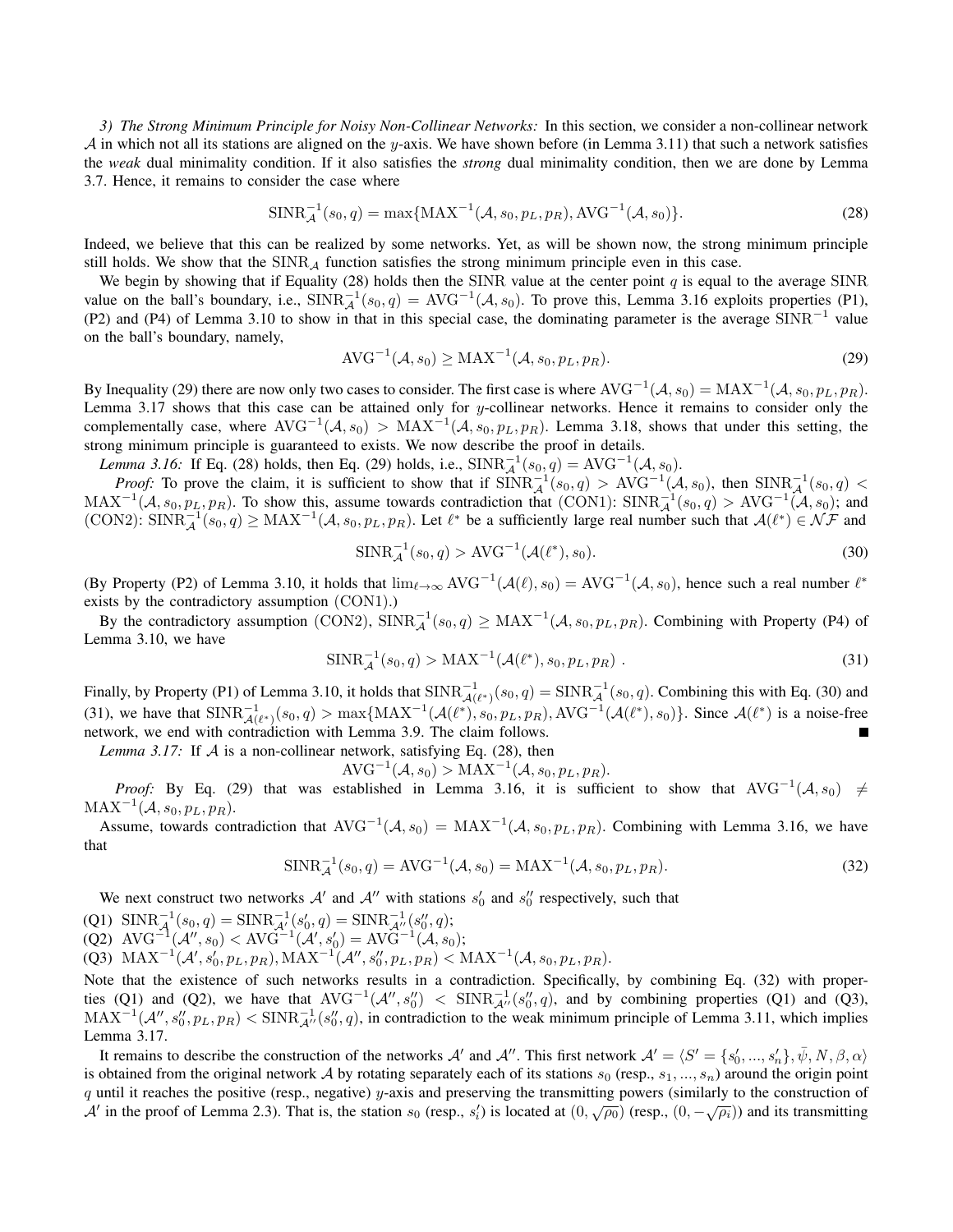*3) The Strong Minimum Principle for Noisy Non-Collinear Networks:* In this section, we consider a non-collinear network A in which not all its stations are aligned on the y-axis. We have shown before (in Lemma 3.11) that such a network satisfies the *weak* dual minimality condition. If it also satisfies the *strong* dual minimality condition, then we are done by Lemma 3.7. Hence, it remains to consider the case where

$$
SINR_{\mathcal{A}}^{-1}(s_0, q) = \max\{MAX^{-1}(\mathcal{A}, s_0, p_L, p_R), AVG^{-1}(\mathcal{A}, s_0)\}.
$$
 (28)

Indeed, we believe that this can be realized by some networks. Yet, as will be shown now, the strong minimum principle still holds. We show that the  $SINR_A$  function satisfies the strong minimum principle even in this case.

We begin by showing that if Equality (28) holds then the SINR value at the center point  $q$  is equal to the average SINR value on the ball's boundary, i.e.,  $SINR^{-1}(s_0, q) = AVG^{-1}(\mathcal{A}, s_0)$ . To prove this, Lemma 3.16 exploits properties (P1), (P2) and (P4) of Lemma 3.10 to show in that in this special case, the dominating parameter is the average SINR−<sup>1</sup> value on the ball's boundary, namely,

$$
AVG^{-1}(\mathcal{A}, s_0) \ge MAX^{-1}(\mathcal{A}, s_0, p_L, p_R).
$$
\n
$$
(29)
$$

By Inequality (29) there are now only two cases to consider. The first case is where  $AVG^{-1}(A, s_0) = MAX^{-1}(A, s_0, p_L, p_R)$ . Lemma 3.17 shows that this case can be attained only for y-collinear networks. Hence it remains to consider only the complementally case, where  $AVG^{-1}(A, s_0) > MAX^{-1}(A, s_0, p_L, p_R)$ . Lemma 3.18, shows that under this setting, the strong minimum principle is guaranteed to exists. We now describe the proof in details.

*Lemma 3.16:* If Eq. (28) holds, then Eq. (29) holds, i.e.,  $SINR^{-1}(s_0, q) = AVG^{-1}(A, s_0)$ .

*Proof:* To prove the claim, it is sufficient to show that if  $\text{SINR}_{\mathcal{A}}^{-1}(s_0, q) > \text{AVG}^{-1}(\mathcal{A}, s_0)$ , then  $\text{SINR}_{\mathcal{A}}^{-1}(s_0, q) < \frac{1}{\sqrt{2}}$  $MAX^{-1}(\mathcal{A}, s_0, p_L, p_R)$ . To show this, assume towards contradiction that  $(CON1)$ :  $SINR^{-1}_{\mathcal{A}}(s_0, q) > AVG^{-1}(\mathcal{A}, s_0)$ ; and (CON2):  $\text{SINR}_{\mathcal{A}}^{-1}(s_0, q) \geq \text{MAX}^{-1}(\mathcal{A}, s_0, p_L, p_R)$ . Let  $\ell^*$  be a sufficiently large real number such that  $\mathcal{A}(\ell^*) \in \mathcal{NF}$  and

$$
\text{SINR}_{\mathcal{A}}^{-1}(s_0, q) > \text{AVG}^{-1}(\mathcal{A}(\ell^*), s_0). \tag{30}
$$

(By Property (P2) of Lemma 3.10, it holds that  $\lim_{\ell \to \infty} AVG^{-1}(\mathcal{A}(\ell), s_0) = AVG^{-1}(\mathcal{A}, s_0)$ , hence such a real number  $\ell^*$ exists by the contradictory assumption (CON1).)

By the contradictory assumption (CON2),  $\text{SINR}_{\mathcal{A}}^{-1}(s_0, q) \geq \text{MAX}^{-1}(\mathcal{A}, s_0, p_L, p_R)$ . Combining with Property (P4) of Lemma 3.10, we have

$$
SINR_{\mathcal{A}}^{-1}(s_0, q) > MAX^{-1}(\mathcal{A}(\ell^*), s_0, p_L, p_R).
$$
 (31)

Finally, by Property (P1) of Lemma 3.10, it holds that  $SINR^{-1}_{\mathcal{A}(\ell^*)}(s_0, q) = SINR^{-1}_{\mathcal{A}}(s_0, q)$ . Combining this with Eq. (30) and (31), we have that  $\text{SINR}_{\mathcal{A}(\ell^*)}^{-1}(s_0, q) > \max\{\text{MAX}^{-1}(\mathcal{A}(\ell^*), s_0, p_L, p_R), \text{AVG}^{-1}(\mathcal{A}(\ell^*), s_0)\}.$  Since  $\mathcal{A}(\ell^*)$  is a noise-free network, we end with contradiction with Lemma 3.9. The claim follows.

*Lemma 3.17:* If A is a non-collinear network, satisfying Eq. (28), then

$$
AVG^{-1}(\mathcal{A}, s_0) > MAX^{-1}(\mathcal{A}, s_0, p_L, p_R).
$$

*Proof:* By Eq. (29) that was established in Lemma 3.16, it is sufficient to show that AVG<sup>-1</sup>( $A$ , s<sub>0</sub>)  $\neq$  $\text{MAX}^{-1}(\mathcal{A}, s_0, p_L, p_R).$ 

Assume, towards contradiction that  $AVG^{-1}(A, s_0) = MAX^{-1}(A, s_0, p_L, p_R)$ . Combining with Lemma 3.16, we have that

$$
SINR_{\mathcal{A}}^{-1}(s_0, q) = \text{AVG}^{-1}(\mathcal{A}, s_0) = \text{MAX}^{-1}(\mathcal{A}, s_0, p_L, p_R). \tag{32}
$$

We next construct two networks  $A'$  and  $A''$  with stations  $s'_0$  and  $s''_0$  respectively, such that

(Q1)  $\text{SINR}_{\mathcal{A}}^{-1}(s_0, q) = \text{SINR}_{\mathcal{A}', s'_0}(s'_0, q) = \text{SINR}_{\mathcal{A}''}^{-1}(s''_0, q);$ 

- (Q2)  $AVG^{-1}(\mathcal{A}'', s_0) < AVG^{-1}(\mathcal{A}', s'_0) = AVG^{-1}(\mathcal{A}, s_0);$
- (Q3)  $\text{MAX}^{-1}(\mathcal{A}', s'_0, p_L, p_R), \text{MAX}^{-1}(\mathcal{A}'', s''_0, p_L, p_R) < \text{MAX}^{-1}(\mathcal{A}, s_0, p_L, p_R).$

Note that the existence of such networks results in a contradiction. Specifically, by combining Eq. (32) with properties (Q1) and (Q2), we have that  $AVG^{-1}(\mathcal{A}'', s_0'') < SHNR_{\mathcal{A}''}^{-1}(s_0'', q)$ , and by combining properties (Q1) and (Q3),  $MAX^{-1}(\mathcal{A}'', s''_0, p_L, p_R) < SINR^{-1}_{\mathcal{A}''}(s''_0, q)$ , in contradiction to the weak minimum principle of Lemma 3.11, which implies Lemma 3.17.

It remains to describe the construction of the networks A' and A''. This first network  $A' = \langle S' = \{s'_0, ..., s'_n\}, \overline{\psi}, N, \beta, \alpha \rangle$ is obtained from the original network A by rotating separately each of its stations  $s_0$  (resp.,  $s_1, ..., s_n$ ) around the origin point  $q$  until it reaches the positive (resp., negative)  $y$ -axis and preserving the transmitting powers (similarly to the construction of  $\mathcal{A}'$  in the proof of Lemma 2.3). That is, the station  $s_0$  (resp.,  $s'_i$ ) is located at  $(0, \sqrt{\rho_0})$  (resp.,  $(0, -\sqrt{\rho_i})$ ) and its transmitting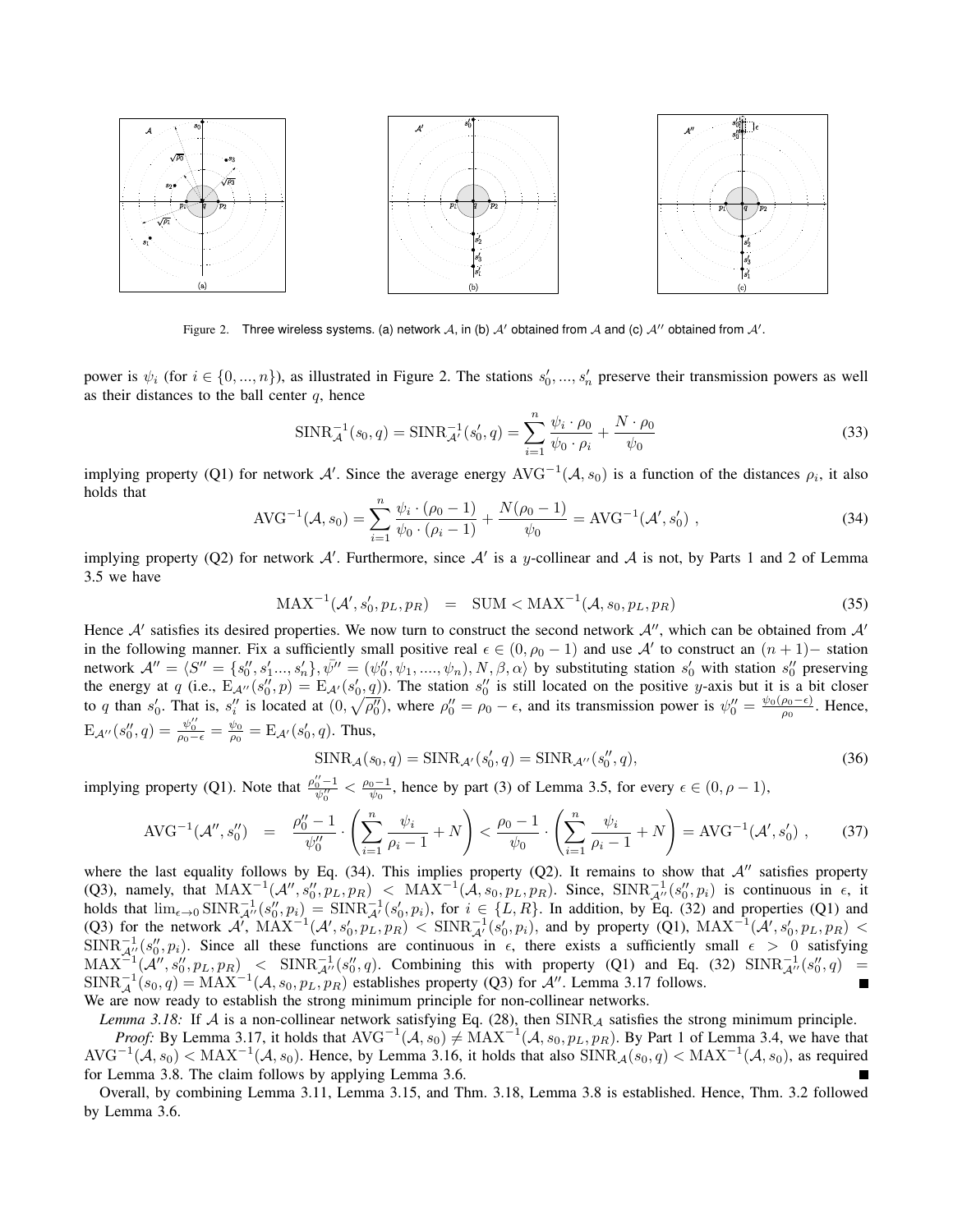

Figure 2. Three wireless systems. (a) network A, in (b) A' obtained from A and (c)  $A''$  obtained from  $A'$ .

power is  $\psi_i$  (for  $i \in \{0, ..., n\}$ ), as illustrated in Figure 2. The stations  $s'_0, ..., s'_n$  preserve their transmission powers as well as their distances to the ball center  $q$ , hence

$$
\text{SINR}_{\mathcal{A}}^{-1}(s_0, q) = \text{SINR}_{\mathcal{A}'}^{-1}(s'_0, q) = \sum_{i=1}^{n} \frac{\psi_i \cdot \rho_0}{\psi_0 \cdot \rho_i} + \frac{N \cdot \rho_0}{\psi_0} \tag{33}
$$

implying property (Q1) for network A'. Since the average energy AVG<sup>-1</sup>(A, s<sub>0</sub>) is a function of the distances  $\rho_i$ , it also holds that

$$
AVG^{-1}(\mathcal{A}, s_0) = \sum_{i=1}^{n} \frac{\psi_i \cdot (\rho_0 - 1)}{\psi_0 \cdot (\rho_i - 1)} + \frac{N(\rho_0 - 1)}{\psi_0} = AVG^{-1}(\mathcal{A}', s'_0) ,
$$
 (34)

implying property (Q2) for network A'. Furthermore, since A' is a y-collinear and A is not, by Parts 1 and 2 of Lemma 3.5 we have

$$
MAX^{-1}(\mathcal{A}', s'_0, p_L, p_R) = SUM < MAX^{-1}(\mathcal{A}, s_0, p_L, p_R)
$$
\n(35)

Hence  $A'$  satisfies its desired properties. We now turn to construct the second network  $A''$ , which can be obtained from  $A'$ in the following manner. Fix a sufficiently small positive real  $\epsilon \in (0, \rho_0 - 1)$  and use A' to construct an  $(n + 1)$ – station network  $\mathcal{A}'' = \langle S'' = \{s_0'', s_1', \dots, s_n'\}, \overline{\psi''} = (\psi_0'', \overline{\psi_1}, \dots, \psi_n), N, \beta, \alpha \rangle$  by substituting station  $s_0'$  with station  $s_0''$  preserving the energy at q (i.e.,  $E_{A''}(s_0'', p) = E_{A'}(s_0', q)$ ). The station  $s_0''$  is still located on the positive y-axis but it is a bit closer to q than  $s'_0$ . That is,  $s''_i$  is located at  $(0, \sqrt{\rho''_0})$ , where  $\rho''_0 = \rho_0 - \epsilon$ , and its transmission power is  $\psi''_0 = \frac{\psi_0(\rho_0 - \epsilon)}{\rho_0}$ at is,  $s''_l$  is located at  $(0, \sqrt{\rho''_0})$ , where  $\rho''_0 = \rho_0 - \epsilon$ , and its transmission power is  $\psi''_0 = \frac{\psi_0(\rho_0 - \epsilon)}{\rho_0}$ . Hence,  $\mathrm{E}_{\mathcal{A}''}(s''_0, q) = \frac{\psi''_0}{\rho_0 - \epsilon} = \frac{\psi_0}{\rho_0} = \mathrm{E}_{\mathcal{A}'}(s'_0, q)$ . Thus,

$$
\text{SINR}_{\mathcal{A}}(s_0, q) = \text{SINR}_{\mathcal{A}'}(s'_0, q) = \text{SINR}_{\mathcal{A}''}(s''_0, q),\tag{36}
$$

implying property (Q1). Note that  $\frac{\rho_0''-1}{\psi_0''} < \frac{\rho_0-1}{\psi_0}$ , hence by part (3) of Lemma 3.5, for every  $\epsilon \in (0, \rho-1)$ ,

$$
AVG^{-1}(\mathcal{A}'', s_0'') = \frac{\rho_0'' - 1}{\psi_0''} \cdot \left( \sum_{i=1}^n \frac{\psi_i}{\rho_i - 1} + N \right) < \frac{\rho_0 - 1}{\psi_0} \cdot \left( \sum_{i=1}^n \frac{\psi_i}{\rho_i - 1} + N \right) = AVG^{-1}(\mathcal{A}', s_0') ,\qquad(37)
$$

where the last equality follows by Eq. (34). This implies property (Q2). It remains to show that  $A''$  satisfies property (Q3), namely, that  $MAX^{-1}(\mathcal{A}'', s''_0, p_L, p_R) < MAX^{-1}(\mathcal{A}, s_0, p_L, p_R)$ . Since,  $SINR^{-1}_{\mathcal{A}''}(s''_0, p_i)$  is continuous in  $\epsilon$ , it holds that  $\lim_{\epsilon \to 0} \text{SINR}_{\mathcal{A}''}^{-1}(s_0'', p_i) = \text{SINR}_{\mathcal{A}'}^{-1}(s_0', p_i)$ , for  $i \in \{L, R\}$ . In addition, by Eq. (32) and properties (Q1) and (Q3) for the network  $\mathcal{A}'$ ,  $\widehat{MAX}^{-1}(\mathcal{A}', s'_0, p_L, p_R)$  <  $\widehat{SINR}_{\mathcal{A}'}^{-1}(s'_0, p_i)$ , and by property (Q1),  $MAX^{-1}(\mathcal{A}', s'_0, p_L, p_R)$  <  $\text{SINR}_{\mathcal{A}_s}^{-1}(s_0'', p_i)$ . Since all these functions are continuous in  $\epsilon$ , there exists a sufficiently small  $\epsilon > 0$  satisfying  $\text{MAX}^{-1}(\mathcal{A}^{\prime\prime}, s_0^{\prime\prime}, p_L, p_R)$  <  $\text{SINR}_{\mathcal{A}^{\prime\prime}}^{-1}(s_0^{\prime\prime}, q)$ . Combining this with property (Q1) and Eq. (32)  $\text{SINR}_{\mathcal{A}^{\prime\prime}}^{-1}(s_0^{\prime\prime}, q)$  =  $\text{SINR}_{\mathcal{A}}^{-1}(s_0, q) = \text{MAX}^{-1}(\mathcal{A}, s_0, p_L, p_R)$  establishes property (Q3) for  $\mathcal{A}''$ . Lemma 3.17 follows. We are now ready to establish the strong minimum principle for non-collinear networks.

*Lemma 3.18:* If  $\mathcal A$  is a non-collinear network satisfying Eq. (28), then  $SINR_{\mathcal A}$  satisfies the strong minimum principle. *Proof:* By Lemma 3.17, it holds that  $AVG^{-1}(\mathcal{A}, s_0) \neq MAX^{-1}(\mathcal{A}, s_0, p_L, p_R)$ . By Part 1 of Lemma 3.4, we have that  $AVG^{-1}(\mathcal{A}, s_0) < MAX^{-1}(\mathcal{A}, s_0)$ . Hence, by Lemma 3.16, it holds that also  $SINR_{\mathcal{A}}(s_0, q) < MAX^{-1}(\mathcal{A}, s_0)$ , as required for Lemma 3.8. The claim follows by applying Lemma 3.6.

Overall, by combining Lemma 3.11, Lemma 3.15, and Thm. 3.18, Lemma 3.8 is established. Hence, Thm. 3.2 followed by Lemma 3.6.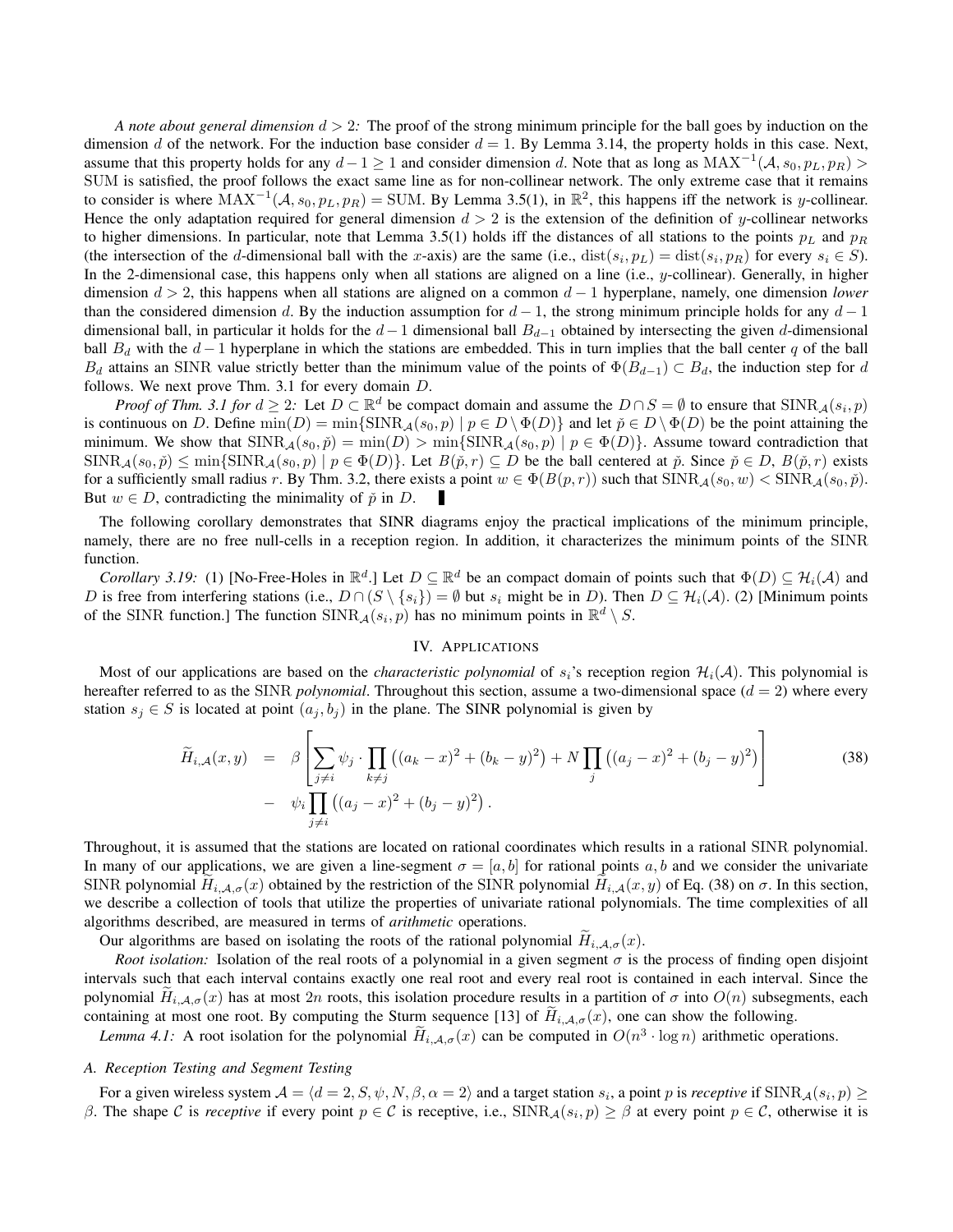*A note about general dimension*  $d > 2$ : The proof of the strong minimum principle for the ball goes by induction on the dimension d of the network. For the induction base consider  $d = 1$ . By Lemma 3.14, the property holds in this case. Next, assume that this property holds for any  $d-1 \ge 1$  and consider dimension d. Note that as long as  $MAX^{-1}(A, s_0, p_L, p_R)$ SUM is satisfied, the proof follows the exact same line as for non-collinear network. The only extreme case that it remains to consider is where  $\text{MAX}^{-1}(\mathcal{A}, s_0, p_L, p_R) = \text{SUM}$ . By Lemma 3.5(1), in  $\mathbb{R}^2$ , this happens iff the network is y-collinear. Hence the only adaptation required for general dimension  $d > 2$  is the extension of the definition of y-collinear networks to higher dimensions. In particular, note that Lemma 3.5(1) holds iff the distances of all stations to the points  $p_L$  and  $p_R$ (the intersection of the d-dimensional ball with the x-axis) are the same (i.e.,  $dist(s_i, p_L) = dist(s_i, p_R)$  for every  $s_i \in S$ ). In the 2-dimensional case, this happens only when all stations are aligned on a line (i.e., y-collinear). Generally, in higher dimension d > 2, this happens when all stations are aligned on a common d − 1 hyperplane, namely, one dimension *lower* than the considered dimension d. By the induction assumption for  $d-1$ , the strong minimum principle holds for any  $d-1$ dimensional ball, in particular it holds for the  $d-1$  dimensional ball  $B_{d-1}$  obtained by intersecting the given d-dimensional ball  $B_d$  with the  $d-1$  hyperplane in which the stations are embedded. This in turn implies that the ball center q of the ball  $B_d$  attains an SINR value strictly better than the minimum value of the points of  $\Phi(B_{d-1}) \subset B_d$ , the induction step for d follows. We next prove Thm. 3.1 for every domain D.

*Proof of Thm. 3.1 for*  $d \geq 2$ : Let  $D \subset \mathbb{R}^d$  be compact domain and assume the  $D \cap S = \emptyset$  to ensure that  $\text{SINR}_{\mathcal{A}}(s_i, p)$ is continuous on D. Define  $\min(D) = \min\{\text{SINR}_{\mathcal{A}}(s_0, p) \mid p \in D \setminus \Phi(D)\}\$  and let  $\check{p} \in D \setminus \Phi(D)$  be the point attaining the minimum. We show that  $SINR_A(s_0, \tilde{p}) = min(D) > min\{SINR_A(s_0, p) | p \in \Phi(D)\}\)$ . Assume toward contradiction that  $SINR_{\mathcal{A}}(s_0, \check{p}) \le \min\{SINR_{\mathcal{A}}(s_0, p) \mid p \in \Phi(D)\}\$ . Let  $B(\check{p}, r) \subseteq D$  be the ball centered at  $\check{p}$ . Since  $\check{p} \in D$ ,  $B(\check{p}, r)$  exists for a sufficiently small radius r. By Thm. 3.2, there exists a point  $w \in \Phi(B(p, r))$  such that  $SINR_{\mathcal{A}}(s_0, w) < SINR_{\mathcal{A}}(s_0, \check{p})$ . But  $w \in D$ , contradicting the minimality of  $\check{p}$  in D.

The following corollary demonstrates that SINR diagrams enjoy the practical implications of the minimum principle, namely, there are no free null-cells in a reception region. In addition, it characterizes the minimum points of the SINR function.

*Corollary 3.19:* (1) [No-Free-Holes in  $\mathbb{R}^d$ .] Let  $D \subseteq \mathbb{R}^d$  be an compact domain of points such that  $\Phi(D) \subseteq H_i(\mathcal{A})$  and D is free from interfering stations (i.e.,  $D \cap (S \setminus \{s_i\}) = \emptyset$  but  $s_i$  might be in D). Then  $D \subseteq \mathcal{H}_i(\mathcal{A})$ . (2) [Minimum points of the SINR function.] The function  $SINR_{\mathcal{A}}(s_i, p)$  has no minimum points in  $\mathbb{R}^d \setminus S$ .

# IV. APPLICATIONS

Most of our applications are based on the *characteristic polynomial* of  $s_i$ 's reception region  $\mathcal{H}_i(\mathcal{A})$ . This polynomial is hereafter referred to as the SINR *polynomial*. Throughout this section, assume a two-dimensional space  $(d = 2)$  where every station  $s_i \in S$  is located at point  $(a_i, b_i)$  in the plane. The SINR polynomial is given by

$$
\widetilde{H}_{i,\mathcal{A}}(x,y) = \beta \left[ \sum_{j \neq i} \psi_j \cdot \prod_{k \neq j} \left( (a_k - x)^2 + (b_k - y)^2 \right) + N \prod_j \left( (a_j - x)^2 + (b_j - y)^2 \right) \right] \tag{38}
$$
\n
$$
- \psi_i \prod_{j \neq i} \left( (a_j - x)^2 + (b_j - y)^2 \right).
$$

Throughout, it is assumed that the stations are located on rational coordinates which results in a rational SINR polynomial. In many of our applications, we are given a line-segment  $\sigma = [a, b]$  for rational points a, b and we consider the univariate SINR polynomial  $H_{i,A,\sigma}(x)$  obtained by the restriction of the SINR polynomial  $H_{i,A}(x, y)$  of Eq. (38) on  $\sigma$ . In this section, we describe a collection of tools that utilize the properties of univariate rational polynomials. The time complexities of all algorithms described, are measured in terms of *arithmetic* operations.

Our algorithms are based on isolating the roots of the rational polynomial  $H_{i,A,\sigma}(x)$ .

*Root isolation:* Isolation of the real roots of a polynomial in a given segment  $\sigma$  is the process of finding open disjoint intervals such that each interval contains exactly one real root and every real root is contained in each interval. Since the polynomial  $H_{i,A,\sigma}(x)$  has at most 2n roots, this isolation procedure results in a partition of  $\sigma$  into  $O(n)$  subsegments, each containing at most one root. By computing the Sturm sequence [13] of  $H_{i,A,\sigma}(x)$ , one can show the following.

*Lemma 4.1:* A root isolation for the polynomial  $\tilde{H}_{i,A,\sigma}(x)$  can be computed in  $O(n^3 \cdot \log n)$  arithmetic operations.

### *A. Reception Testing and Segment Testing*

For a given wireless system  $A = \langle d = 2, S, \psi, N, \beta, \alpha = 2 \rangle$  and a target station  $s_i$ , a point p is *receptive* if SINR<sub>A</sub> $(s_i, p) \ge$ β. The shape C is *receptive* if every point  $p \in C$  is receptive, i.e., SINR<sub>A</sub>( $s_i, p$ ) ≥ β at every point  $p \in C$ , otherwise it is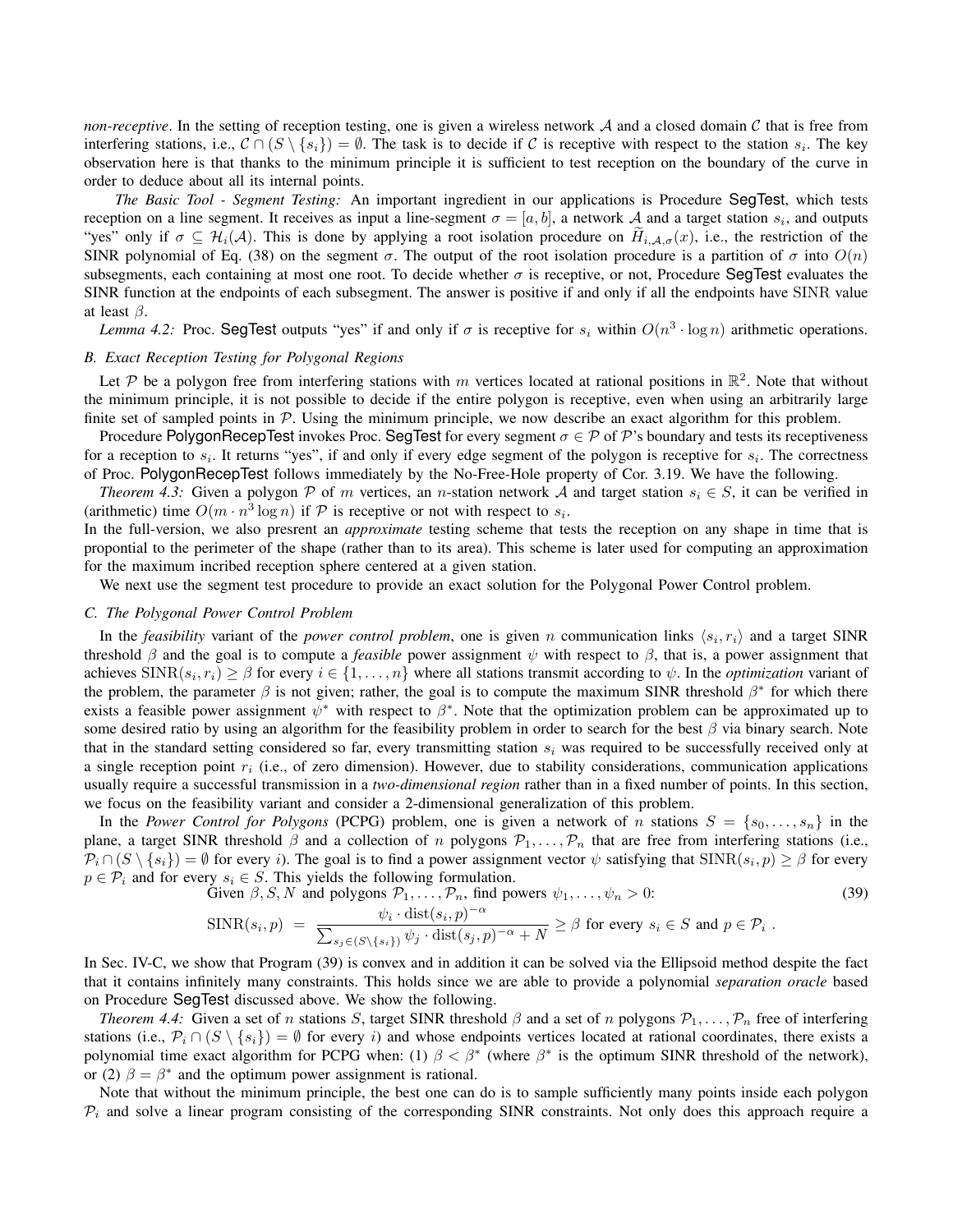*non-receptive*. In the setting of reception testing, one is given a wireless network A and a closed domain C that is free from interfering stations, i.e.,  $C \cap (S \setminus \{s_i\}) = \emptyset$ . The task is to decide if C is receptive with respect to the station  $s_i$ . The key observation here is that thanks to the minimum principle it is sufficient to test reception on the boundary of the curve in order to deduce about all its internal points.

*The Basic Tool - Segment Testing:* An important ingredient in our applications is Procedure SegTest, which tests reception on a line segment. It receives as input a line-segment  $\sigma = [a, b]$ , a network  $\mathcal{A}_{\infty}$  and a target station  $s_i$ , and outputs "yes" only if  $\sigma \subseteq H_i(\mathcal{A})$ . This is done by applying a root isolation procedure on  $H_{i,\mathcal{A},\sigma}(x)$ , i.e., the restriction of the SINR polynomial of Eq. (38) on the segment  $\sigma$ . The output of the root isolation procedure is a partition of  $\sigma$  into  $O(n)$ subsegments, each containing at most one root. To decide whether  $\sigma$  is receptive, or not, Procedure SegTest evaluates the SINR function at the endpoints of each subsegment. The answer is positive if and only if all the endpoints have SINR value at least  $\beta$ .

*Lemma 4.2:* Proc. SegTest outputs "yes" if and only if  $\sigma$  is receptive for  $s_i$  within  $O(n^3 \cdot \log n)$  arithmetic operations.

### *B. Exact Reception Testing for Polygonal Regions*

Let P be a polygon free from interfering stations with m vertices located at rational positions in  $\mathbb{R}^2$ . Note that without the minimum principle, it is not possible to decide if the entire polygon is receptive, even when using an arbitrarily large finite set of sampled points in  $P$ . Using the minimum principle, we now describe an exact algorithm for this problem.

Procedure PolygonRecepTest invokes Proc. SegTest for every segment  $\sigma \in \mathcal{P}$  of P's boundary and tests its receptiveness for a reception to  $s_i$ . It returns "yes", if and only if every edge segment of the polygon is receptive for  $s_i$ . The correctness of Proc. PolygonRecepTest follows immediately by the No-Free-Hole property of Cor. 3.19. We have the following.

*Theorem 4.3:* Given a polygon P of m vertices, an n-station network A and target station  $s_i \in S$ , it can be verified in (arithmetic) time  $O(m \cdot n^3 \log n)$  if P is receptive or not with respect to  $s_i$ .

In the full-version, we also presrent an *approximate* testing scheme that tests the reception on any shape in time that is propontial to the perimeter of the shape (rather than to its area). This scheme is later used for computing an approximation for the maximum incribed reception sphere centered at a given station.

We next use the segment test procedure to provide an exact solution for the Polygonal Power Control problem.

### *C. The Polygonal Power Control Problem*

In the *feasibility* variant of the *power control problem*, one is given *n* communication links  $\langle s_i, r_i \rangle$  and a target SINR threshold  $\beta$  and the goal is to compute a *feasible* power assignment  $\psi$  with respect to  $\beta$ , that is, a power assignment that achieves  $\text{SINR}(s_i, r_i) \ge \beta$  for every  $i \in \{1, ..., n\}$  where all stations transmit according to  $\psi$ . In the *optimization* variant of the problem, the parameter  $\beta$  is not given; rather, the goal is to compute the maximum SINR threshold  $\beta^*$  for which there exists a feasible power assignment  $\psi^*$  with respect to  $\beta^*$ . Note that the optimization problem can be approximated up to some desired ratio by using an algorithm for the feasibility problem in order to search for the best  $\beta$  via binary search. Note that in the standard setting considered so far, every transmitting station  $s_i$  was required to be successfully received only at a single reception point  $r_i$  (i.e., of zero dimension). However, due to stability considerations, communication applications usually require a successful transmission in a *two-dimensional region* rather than in a fixed number of points. In this section, we focus on the feasibility variant and consider a 2-dimensional generalization of this problem.

In the *Power Control for Polygons* (PCPG) problem, one is given a network of n stations  $S = \{s_0, \ldots, s_n\}$  in the plane, a target SINR threshold  $\beta$  and a collection of n polygons  $\mathcal{P}_1, \ldots, \mathcal{P}_n$  that are free from interfering stations (i.e.,  $P_i \cap (S \setminus \{s_i\}) = \emptyset$  for every *i*). The goal is to find a power assignment vector  $\psi$  satisfying that  $\text{SINR}(s_i, p) \ge \beta$  for every  $p \in \mathcal{P}_i$  and for every  $s_i \in S$ . This yields the following formulation.

Given 
$$
\beta
$$
, S, N and polygons  $\mathcal{P}_1, \dots, \mathcal{P}_n$ , find powers  $\psi_1, \dots, \psi_n > 0$ :  
\n
$$
\text{SINR}(s_i, p) = \frac{\psi_i \cdot \text{dist}(s_i, p)^{-\alpha}}{\sum_{s_j \in (S \setminus \{s_i\})} \psi_j \cdot \text{dist}(s_j, p)^{-\alpha} + N} \ge \beta \text{ for every } s_i \in S \text{ and } p \in \mathcal{P}_i.
$$
\n(39)

In Sec. IV-C, we show that Program (39) is convex and in addition it can be solved via the Ellipsoid method despite the fact that it contains infinitely many constraints. This holds since we are able to provide a polynomial *separation oracle* based on Procedure SegTest discussed above. We show the following.

*Theorem 4.4:* Given a set of n stations S, target SINR threshold  $\beta$  and a set of n polygons  $\mathcal{P}_1,\ldots,\mathcal{P}_n$  free of interfering stations (i.e.,  $\mathcal{P}_i \cap (S \setminus \{s_i\}) = \emptyset$  for every i) and whose endpoints vertices located at rational coordinates, there exists a polynomial time exact algorithm for PCPG when: (1)  $\beta < \beta^*$  (where  $\beta^*$  is the optimum SINR threshold of the network), or (2)  $\beta = \beta^*$  and the optimum power assignment is rational.

Note that without the minimum principle, the best one can do is to sample sufficiently many points inside each polygon  $P_i$  and solve a linear program consisting of the corresponding SINR constraints. Not only does this approach require a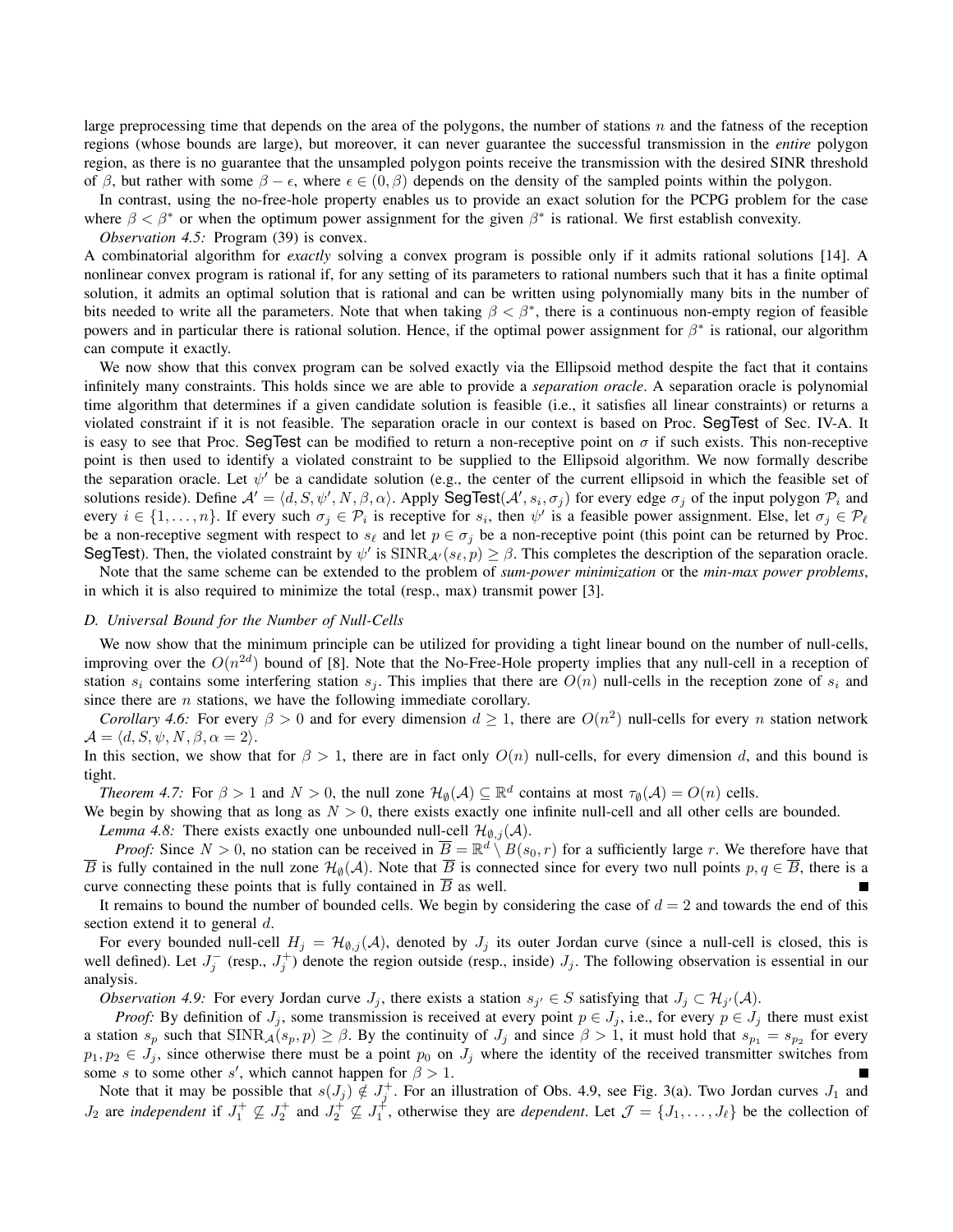large preprocessing time that depends on the area of the polygons, the number of stations  $n$  and the fatness of the reception regions (whose bounds are large), but moreover, it can never guarantee the successful transmission in the *entire* polygon region, as there is no guarantee that the unsampled polygon points receive the transmission with the desired SINR threshold of β, but rather with some  $\beta - \epsilon$ , where  $\epsilon \in (0, \beta)$  depends on the density of the sampled points within the polygon.

In contrast, using the no-free-hole property enables us to provide an exact solution for the PCPG problem for the case

where  $\beta < \beta^*$  or when the optimum power assignment for the given  $\beta^*$  is rational. We first establish convexity.

*Observation 4.5:* Program (39) is convex.

A combinatorial algorithm for *exactly* solving a convex program is possible only if it admits rational solutions [14]. A nonlinear convex program is rational if, for any setting of its parameters to rational numbers such that it has a finite optimal solution, it admits an optimal solution that is rational and can be written using polynomially many bits in the number of bits needed to write all the parameters. Note that when taking  $\beta < \beta^*$ , there is a continuous non-empty region of feasible powers and in particular there is rational solution. Hence, if the optimal power assignment for  $\beta^*$  is rational, our algorithm can compute it exactly.

We now show that this convex program can be solved exactly via the Ellipsoid method despite the fact that it contains infinitely many constraints. This holds since we are able to provide a *separation oracle*. A separation oracle is polynomial time algorithm that determines if a given candidate solution is feasible (i.e., it satisfies all linear constraints) or returns a violated constraint if it is not feasible. The separation oracle in our context is based on Proc. SegTest of Sec. IV-A. It is easy to see that Proc. SegTest can be modified to return a non-receptive point on  $\sigma$  if such exists. This non-receptive point is then used to identify a violated constraint to be supplied to the Ellipsoid algorithm. We now formally describe the separation oracle. Let  $\psi'$  be a candidate solution (e.g., the center of the current ellipsoid in which the feasible set of solutions reside). Define  $A' = \langle d, S, \psi', N, \beta, \alpha \rangle$ . Apply SegTest $(A', s_i, \sigma_j)$  for every edge  $\sigma_j$  of the input polygon  $P_i$  and every  $i \in \{1, \ldots, n\}$ . If every such  $\sigma_j \in \mathcal{P}_i$  is receptive for  $s_i$ , then  $\psi'$  is a feasible power assignment. Else, let  $\sigma_j \in \mathcal{P}_\ell$ be a non-receptive segment with respect to  $s_\ell$  and let  $p \in \sigma_j$  be a non-receptive point (this point can be returned by Proc. SegTest). Then, the violated constraint by  $\psi'$  is  $SINR_{\mathcal{A}'}(s_{\ell}, p) \geq \beta$ . This completes the description of the separation oracle.

Note that the same scheme can be extended to the problem of *sum-power minimization* or the *min-max power problems*, in which it is also required to minimize the total (resp., max) transmit power [3].

### *D. Universal Bound for the Number of Null-Cells*

We now show that the minimum principle can be utilized for providing a tight linear bound on the number of null-cells, improving over the  $O(n^{2d})$  bound of [8]. Note that the No-Free-Hole property implies that any null-cell in a reception of station  $s_i$  contains some interfering station  $s_j$ . This implies that there are  $O(n)$  null-cells in the reception zone of  $s_i$  and since there are  $n$  stations, we have the following immediate corollary.

*Corollary 4.6:* For every  $\beta > 0$  and for every dimension  $d \ge 1$ , there are  $O(n^2)$  null-cells for every *n* station network  $\mathcal{A} = \langle d, S, \psi, N, \beta, \alpha = 2 \rangle.$ 

In this section, we show that for  $\beta > 1$ , there are in fact only  $O(n)$  null-cells, for every dimension d, and this bound is tight.

*Theorem 4.7:* For  $\beta > 1$  and  $N > 0$ , the null zone  $\mathcal{H}_{\emptyset}(\mathcal{A}) \subseteq \mathbb{R}^d$  contains at most  $\tau_{\emptyset}(\mathcal{A}) = O(n)$  cells.

We begin by showing that as long as  $N > 0$ , there exists exactly one infinite null-cell and all other cells are bounded. *Lemma 4.8:* There exists exactly one unbounded null-cell  $\mathcal{H}_{\varnothing, j}(\mathcal{A})$ .

*Proof:* Since  $N > 0$ , no station can be received in  $\overline{B} = \mathbb{R}^d \setminus B(s_0, r)$  for a sufficiently large r. We therefore have that  $\overline{B}$  is fully contained in the null zone  $\mathcal{H}_{\emptyset}(\mathcal{A})$ . Note that  $\overline{B}$  is connected since for every two null points  $p, q \in \overline{B}$ , there is a curve connecting these points that is fully contained in  $\overline{B}$  as well.

It remains to bound the number of bounded cells. We begin by considering the case of  $d = 2$  and towards the end of this section extend it to general d.

For every bounded null-cell  $H_j = \mathcal{H}_{\emptyset,j}(\mathcal{A})$ , denoted by  $J_j$  its outer Jordan curve (since a null-cell is closed, this is well defined). Let  $J_j^-$  (resp.,  $J_j^+$ ) denote the region outside (resp., inside)  $J_j$ . The following observation is essential in our analysis.

*Observation 4.9:* For every Jordan curve  $J_j$ , there exists a station  $s_{j'} \in S$  satisfying that  $J_j \subset \mathcal{H}_{j'}(\mathcal{A})$ .

*Proof:* By definition of  $J_j$ , some transmission is received at every point  $p \in J_j$ , i.e., for every  $p \in J_j$  there must exist a station  $s_p$  such that  $SINR_{\mathcal{A}}(s_p, p) \ge \beta$ . By the continuity of  $J_j$  and since  $\beta > 1$ , it must hold that  $s_{p_1} = s_{p_2}$  for every  $p_1, p_2 \in J_j$ , since otherwise there must be a point  $p_0$  on  $J_j$  where the identity of the received transmitter switches from some s to some other s', which cannot happen for  $\beta > 1$ .

Note that it may be possible that  $s(J_j) \notin J_j^+$ . For an illustration of Obs. 4.9, see Fig. 3(a). Two Jordan curves  $J_1$  and  $J_2$  are *independent* if  $J_1^{\perp} \nsubseteq J_2^{\perp}$  and  $J_2^{\perp} \nsubseteq J_1^{\perp}$ , otherwise they are *dependent*. Let  $\mathcal{J} = \{J_1, \ldots, J_\ell\}$  be the collection of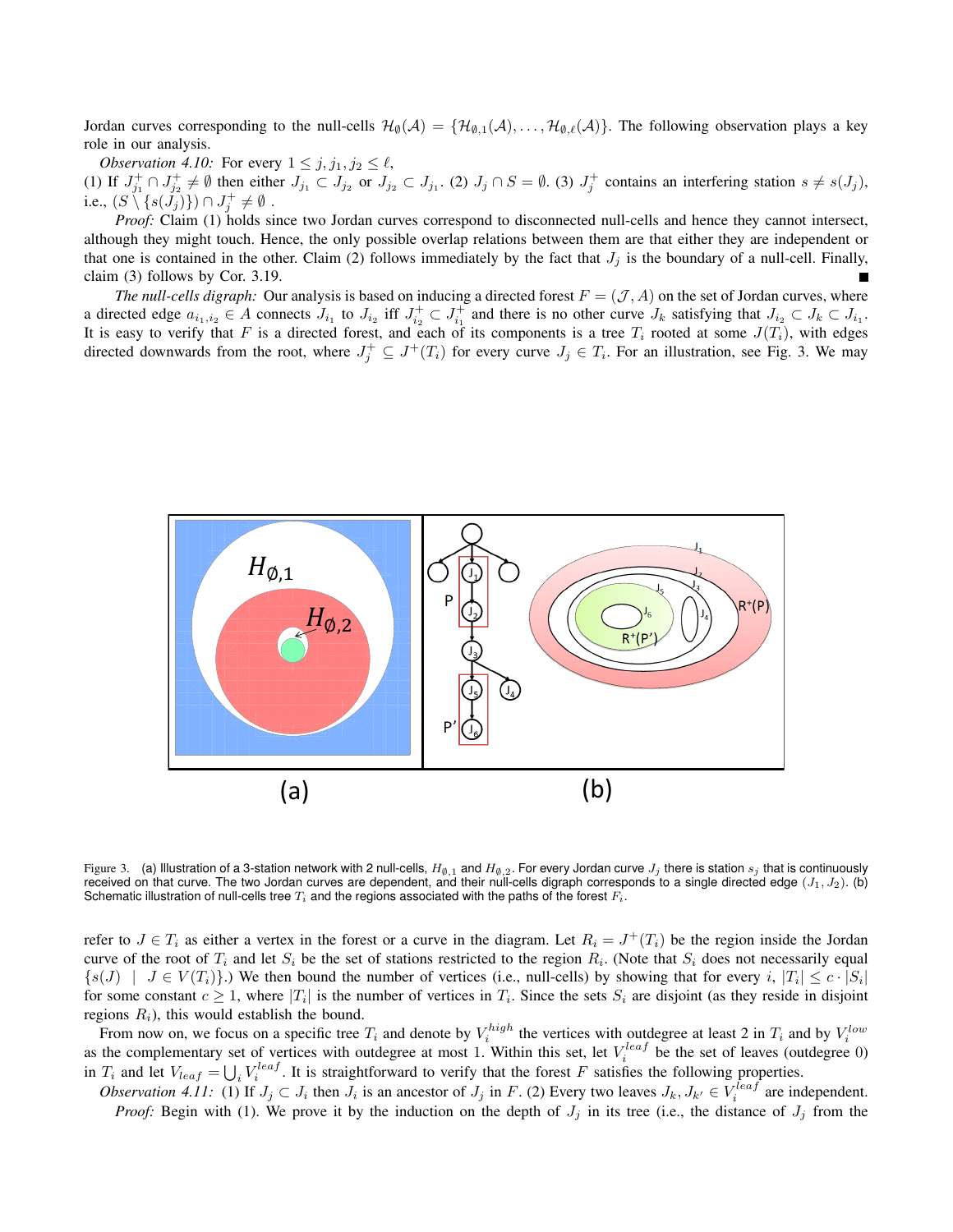Jordan curves corresponding to the null-cells  $\mathcal{H}_{\emptyset}(\mathcal{A}) = \{ \mathcal{H}_{\emptyset,1}(\mathcal{A}), \ldots, \mathcal{H}_{\emptyset,\ell}(\mathcal{A}) \}$ . The following observation plays a key role in our analysis.

*Observation 4.10:* For every  $1 \le j, j_1, j_2 \le \ell$ ,

(1) If  $J_1^+ \cap J_2^+ \neq \emptyset$  then either  $J_{j_1} \subset J_{j_2}$  or  $J_{j_2} \subset J_{j_1}$ . (2)  $J_j \cap S = \emptyset$ . (3)  $J_j^+$  contains an interfering station  $s \neq s(J_j)$ ,<br>i.e.  $(S \setminus [s(J_1)]) \cap I_1^+ \neq \emptyset$ i.e.,  $(S \setminus \{s(J_j)\}) \cap J_j^+ \neq \emptyset$ .

*Proof:* Claim (1) holds since two Jordan curves correspond to disconnected null-cells and hence they cannot intersect, although they might touch. Hence, the only possible overlap relations between them are that either they are independent or that one is contained in the other. Claim (2) follows immediately by the fact that  $J_i$  is the boundary of a null-cell. Finally, claim (3) follows by Cor. 3.19.

*The null-cells digraph:* Our analysis is based on inducing a directed forest  $F = (J, A)$  on the set of Jordan curves, where a directed edge  $a_{i_1,i_2} \in A$  connects  $J_{i_1}$  to  $J_{i_2}$  iff  $J_{i_2}^+ \subset J_{i_1}^+$  and there is no other curve  $J_k$  satisfying that  $J_{i_2} \subset J_k \subset J_{i_1}$ . It is easy to verify that F is a directed forest, and each of its components is a tree  $T_i$  rooted at some  $J(T_i)$ , with edges directed downwards from the root, where  $J_j^+ \subseteq J^+(T_i)$  for every curve  $J_j \in T_i$ . For an illustration, see Fig. 3. We may



Figure 3. (a) Illustration of a 3-station network with 2 null-cells,  $H_{\emptyset,1}$  and  $H_{\emptyset,2}$ . For every Jordan curve  $J_j$  there is station  $s_j$  that is continuously received on that curve. The two Jordan curves are dependent, and their null-cells digraph corresponds to a single directed edge  $(J_1, J_2)$ . (b) Schematic illustration of null-cells tree  $T_i$  and the regions associated with the paths of the forest  $F_i$ .

refer to  $J \in T_i$  as either a vertex in the forest or a curve in the diagram. Let  $R_i = J^+(T_i)$  be the region inside the Jordan curve of the root of  $T_i$  and let  $S_i$  be the set of stations restricted to the region  $R_i$ . (Note that  $S_i$  does not necessarily equal  $\{s(J) \mid J \in V(T_i)\}\.$  We then bound the number of vertices (i.e., null-cells) by showing that for every i,  $|T_i| \leq c \cdot |S_i|$ for some constant  $c \ge 1$ , where  $|T_i|$  is the number of vertices in  $T_i$ . Since the sets  $S_i$  are disjoint (as they reside in disjoint regions  $R_i$ ), this would establish the bound.

From now on, we focus on a specific tree  $T_i$  and denote by  $V_i^{high}$  the vertices with outdegree at least 2 in  $T_i$  and by  $V_i^{low}$  as the complementary set of vertices with outdegree at most 1. Within this set, let  $V_i^{leaf}$ in  $T_i$  and let  $V_{leaf} = \bigcup_i V_i^{leaf}$ . It is straightforward to verify that the forest F satisfies the following properties.

*Observation 4.11:* (1) If  $J_j \subset J_i$  then  $J_i$  is an ancestor of  $J_j$  in F. (2) Every two leaves  $J_k, J_{k'} \in V_i^{leaf}$  are independent. *Proof:* Begin with (1). We prove it by the induction on the depth of  $J_j$  in its tree (i.e., the distance of  $J_j$  from the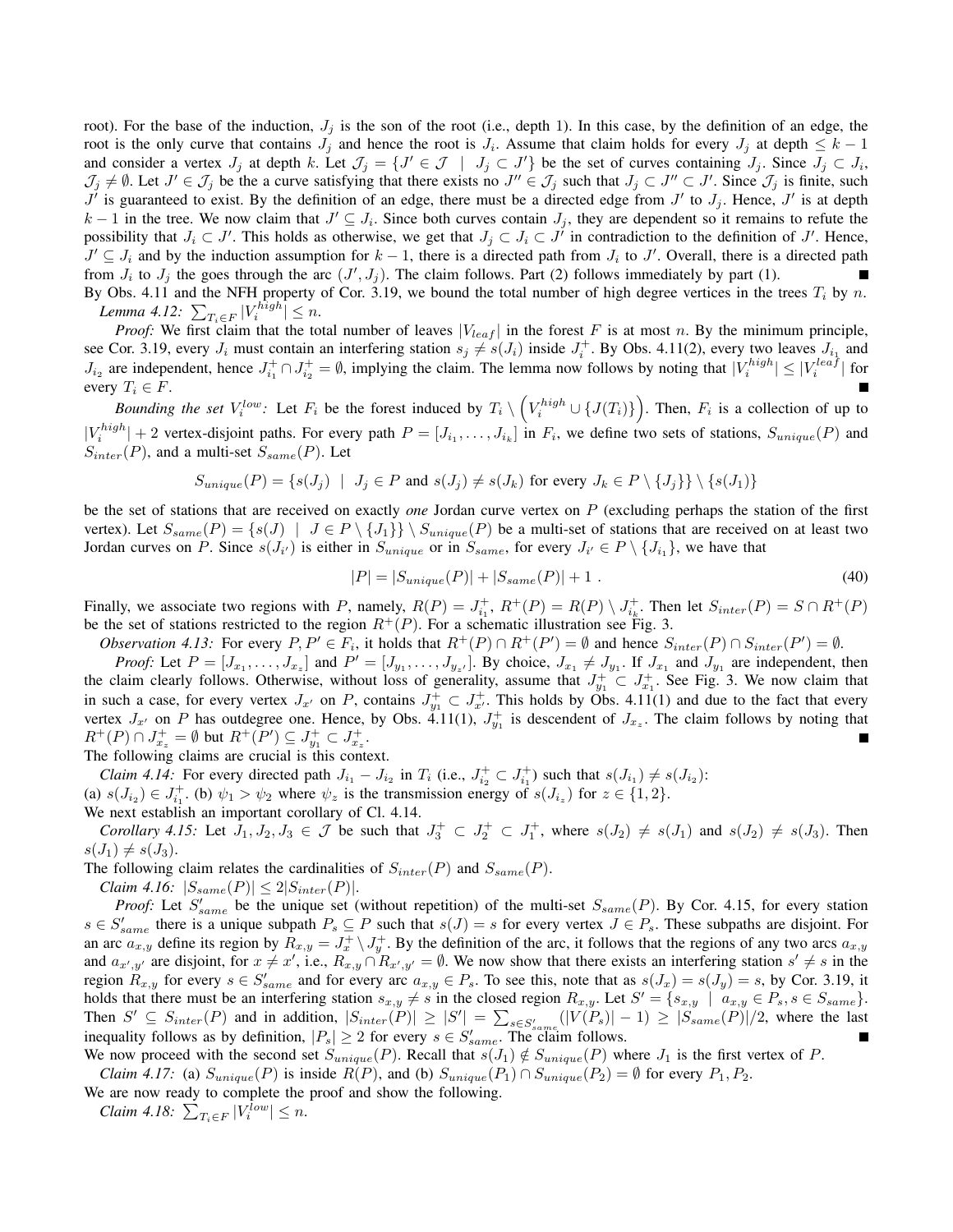root). For the base of the induction,  $J_j$  is the son of the root (i.e., depth 1). In this case, by the definition of an edge, the root is the only curve that contains  $J_j$  and hence the root is  $J_i$ . Assume that claim holds for every  $J_j$  at depth  $\leq k-1$ and consider a vertex  $J_j$  at depth k. Let  $\mathcal{J}_j = \{J' \in \mathcal{J} \mid J_j \subset J' \}$  be the set of curves containing  $J_j$ . Since  $J_j \subset J_i$ ,  $\mathcal{J}_j \neq \emptyset$ . Let  $J' \in \mathcal{J}_j$  be the a curve satisfying that there exists no  $J'' \in \mathcal{J}_j$  such that  $J_j \subset J'' \subset J'$ . Since  $\mathcal{J}_j$  is finite, such  $J'$  is guaranteed to exist. By the definition of an edge, there must be a directed edge from  $J'$  to  $J_j$ . Hence,  $J'$  is at depth  $k-1$  in the tree. We now claim that  $J' \subseteq J_i$ . Since both curves contain  $J_j$ , they are dependent so it remains to refute the possibility that  $J_i \subset J'$ . This holds as otherwise, we get that  $J_j \subset J_i \subset J'$  in contradiction to the definition of J'. Hence,  $J' \subseteq J_i$  and by the induction assumption for  $k-1$ , there is a directed path from  $J_i$  to  $J'$ . Overall, there is a directed path from  $J_i$  to  $J_j$  the goes through the arc  $(J', J_j)$ . The claim follows. Part (2) follows immediately by part (1). By Obs. 4.11 and the NFH property of Cor. 3.19, we bound the total number of high degree vertices in the trees  $T_i$  by n.

Lemma 4.12:  $\sum_{T_i \in F} |V_i^{high}| \leq n$ .

*Proof:* We first claim that the total number of leaves  $|V_{leaf}|$  in the forest F is at most n. By the minimum principle, see Cor. 3.19, every  $J_i$  must contain an interfering station  $s_j \neq s(J_i)$  inside  $J_i^+$ . By Obs. 4.11(2), every two leaves  $J_{i_1}$  and  $J_{i_2}$  are independent, hence  $J_{i_1}^+\cap J_{i_2}^+=\emptyset$ , implying the claim. The lemma now follows by noting that  $|V_i^{high}| \leq |V_i^{leaf}|$  for every  $T_i \in F$ .

*Bounding the set*  $V_i^{low}$ : Let  $F_i$  be the forest induced by  $T_i \setminus \left(V_i^{high} \cup \{J(T_i)\}\right)$ . Then,  $F_i$  is a collection of up to  $|V_i^{high}| + 2$  vertex-disjoint paths. For every path  $P = [J_{i_1}, \ldots, J_{i_k}]$  in  $F_i$ , we define two sets of stations,  $S_{unique}(P)$  and  $S_{inter}(P)$ , and a multi-set  $S_{same}(P)$ . Let

$$
S_{unique}(P) = \{s(J_j) \mid J_j \in P \text{ and } s(J_j) \neq s(J_k) \text{ for every } J_k \in P \setminus \{J_j\} \} \setminus \{s(J_1)\}
$$

be the set of stations that are received on exactly *one* Jordan curve vertex on P (excluding perhaps the station of the first vertex). Let  $S_{same}(P) = \{s(J) | J \in P \setminus \{J_1\}\} \setminus S_{unique}(P)$  be a multi-set of stations that are received on at least two Jordan curves on P. Since  $s(J_{i'})$  is either in  $S_{unique}$  or in  $S_{same}$ , for every  $J_{i'} \in P \setminus \{J_{i_1}\}$ , we have that

$$
|P| = |S_{unique}(P)| + |S_{same}(P)| + 1.
$$
\n(40)

Finally, we associate two regions with P, namely,  $R(P) = J_{i_1}^+, R^+(P) = R(P) \setminus J_{i_k}^+$ . Then let  $S_{inter}(P) = S \cap R^+(P)$ be the set of stations restricted to the region  $R^+(P)$ . For a schematic illustration see Fig. 3.

*Observation 4.13:* For every  $P, P' \in F_i$ , it holds that  $R^+(P) \cap R^+(P') = \emptyset$  and hence  $S_{inter}(P) \cap S_{inter}(P') = \emptyset$ .

*Proof:* Let  $P = [J_{x_1}, \ldots, J_{x_z}]$  and  $P' = [J_{y_1}, \ldots, J_{y_{z'}}]$ . By choice,  $J_{x_1} \neq J_{y_1}$ . If  $J_{x_1}$  and  $J_{y_1}$  are independent, then the claim clearly follows. Otherwise, without loss of generality, assume that  $J_{y_1}^+ \subset J_{x_1}^+$ . See Fig. 3. We now claim that in such a case, for every vertex  $J_{x'}$  on P, contains  $J_{y_1}^+ \subset J_{x'}^+$ . This holds by Obs. 4.11(1) and due to the fact that every vertex  $J_{x'}$  on P has outdegree one. Hence, by Obs. 4.11(1),  $J_{y_1}^+$  is descendent of  $J_{x_2}$ . The claim follows by noting that  $R^+(P) \cap J_{x_z}^+ = \emptyset$  but  $R^+(P') \subseteq J_{y_1}^+ \subset J_{x_z}^+$ .

The following claims are crucial is this context.

*Claim 4.14:* For every directed path  $J_{i_1} - J_{i_2}$  in  $T_i$  (i.e.,  $J_{i_2}^+ \subset J_{i_1}^+$ ) such that  $s(J_{i_1}) \neq s(J_{i_2})$ : (a)  $s(J_{i_2}) \in J_{i_1}^+$ . (b)  $\psi_1 > \psi_2$  where  $\psi_z$  is the transmission energy of  $s(J_{i_2})$  for  $z \in \{1,2\}$ . We next establish an important corollary of Cl. 4.14.

*Corollary 4.15:* Let  $J_1, J_2, J_3 \in \mathcal{J}$  be such that  $J_3^+ \subset J_2^+ \subset J_1^+$ , where  $s(J_2) \neq s(J_1)$  and  $s(J_2) \neq s(J_3)$ . Then  $s(J_1) \neq s(J_3).$ 

The following claim relates the cardinalities of  $S_{inter}(P)$  and  $S_{same}(P)$ .

*Claim 4.16:*  $|S_{same}(P)| \leq 2|S_{inter}(P)|$ .

*Proof:* Let  $S'_{same}$  be the unique set (without repetition) of the multi-set  $S_{same}(P)$ . By Cor. 4.15, for every station  $s \in S'_{same}$  there is a unique subpath  $P_s \subseteq P$  such that  $s(J) = s$  for every vertex  $J \in P_s$ . These subpaths are disjoint. For an arc  $a_{x,y}$  define its region by  $R_{x,y} = J_x^+ \setminus J_y^+$ . By the definition of the arc, it follows that the regions of any two arcs  $a_{x,y}$ and  $a_{x',y'}$  are disjoint, for  $x \neq x'$ , i.e.,  $R_{x,y} \cap R_{x',y'} = \emptyset$ . We now show that there exists an interfering station  $s' \neq s$  in the region  $R_{x,y}$  for every  $s \in S'_{same}$  and for every arc  $a_{x,y} \in P_s$ . To see this, note that as  $s(J_x) = s(J_y) = s$ , by Cor. 3.19, it holds that there must be an interfering station  $s_{x,y} \neq s$  in the closed region  $R_{x,y}$ . Let  $S' = \{s_{x,y} \mid a_{x,y} \in P_s, s \in S_{same}\}.$ Then  $S' \subseteq S_{inter}(P)$  and in addition,  $|S_{inter}(P)| \geq |S'| = \sum_{s \in S'_{same}} (|V(P_s)| - 1) \geq |S_{same}(P)|/2$ , where the last inequality follows as by definition,  $|P_s| \geq 2$  for every  $s \in S'_{same}$ . The claim follows.

We now proceed with the second set  $S_{unique}(P)$ . Recall that  $s(J_1) \notin S_{unique}(P)$  where  $J_1$  is the first vertex of P. *Claim 4.17:* (a)  $S_{unique}(P)$  is inside  $R(P)$ , and (b)  $S_{unique}(P_1) \cap S_{unique}(P_2) = \emptyset$  for every  $P_1, P_2$ .

We are now ready to complete the proof and show the following.

*Claim 4.18:*  $\sum_{T_i \in F} |V_i^{low}| \leq n$ .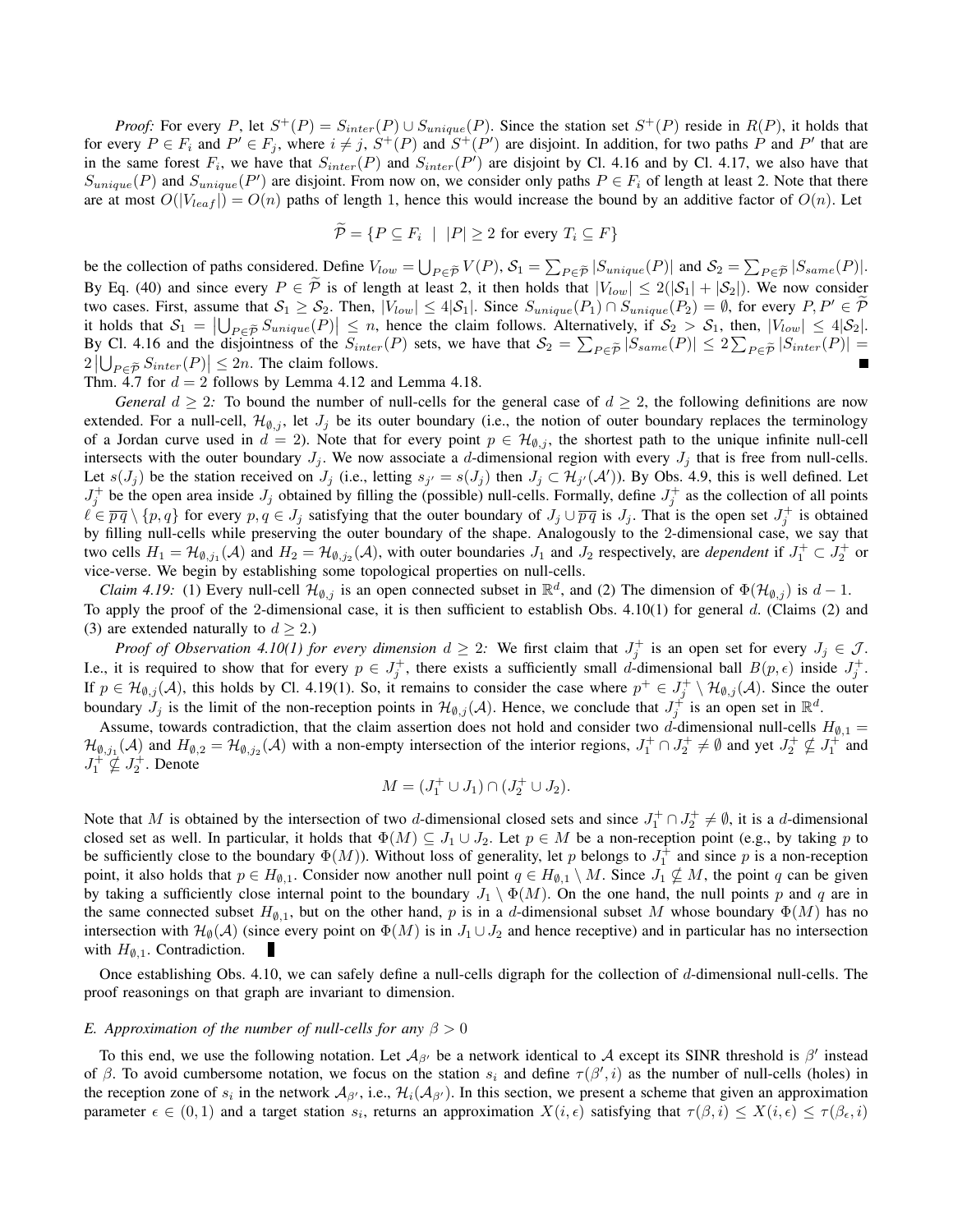*Proof:* For every P, let  $S^+(P) = S_{inter}(P) \cup S_{unique}(P)$ . Since the station set  $S^+(P)$  reside in  $R(P)$ , it holds that for every  $P \in F_i$  and  $P' \in F_j$ , where  $i \neq j$ ,  $S^+(P)$  and  $S^+(P')$  are disjoint. In addition, for two paths P and P' that are in the same forest  $F_i$ , we have that  $S_{inter}(P)$  and  $S_{inter}(P')$  are disjoint by Cl. 4.16 and by Cl. 4.17, we also have that  $S_{unique}(P)$  and  $S_{unique}(P')$  are disjoint. From now on, we consider only paths  $P \in F_i$  of length at least 2. Note that there are at most  $O(|V_{leaf}|) = O(n)$  paths of length 1, hence this would increase the bound by an additive factor of  $O(n)$ . Let

$$
\mathcal{P} = \{ P \subseteq F_i \mid |P| \ge 2 \text{ for every } T_i \subseteq F \}
$$

be the collection of paths considered. Define  $V_{low} = \bigcup_{P \in \tilde{\mathcal{P}}} V(P)$ ,  $S_1 = \sum_{P \in \tilde{\mathcal{P}}} |S_{unique}(P)|$  and  $S_2 = \sum_{P \in \tilde{\mathcal{P}}} |S_{same}(P)|$ . By Eq. (40) and since every  $P \in \tilde{P}$  is of length at least 2, it then holds that  $|V_{low}| \le 2(|S_1| + |S_2|)$ . We now consider two cases. First, assume that  $S_1 \geq S_2$ . Then,  $|V_{low}| \leq 4|\mathcal{S}_1|$ . Since  $S_{unique}(P_1) \cap S_{unique}(P_2) = \emptyset$ , for every  $P, P' \in \tilde{\mathcal{P}}$ it holds that  $S_1 = |\bigcup_{P \in \tilde{P}} S_{unique}(P)| \leq n$ , hence the claim follows. Alternatively, if  $S_2 > S_1$ , then,  $|V_{low}| \leq 4|S_2|$ . By Cl. 4.16 and the disjointness of the  $S_{inter}(P)$  sets, we have that  $S_2 = \sum_{P \in \tilde{P}} |S_{same}(P)| \leq 2 \sum_{P \in \tilde{P}} |S_{inter}(P)| =$  $2\left|\bigcup_{P\in\widetilde{\mathcal{P}}}S_{inter}(P)\right|\leq 2n$ . The claim follows.

Thm.  $\overline{4.7}$  for  $d = 2$  follows by Lemma 4.12 and Lemma 4.18.

*General*  $d \geq 2$ : To bound the number of null-cells for the general case of  $d \geq 2$ , the following definitions are now extended. For a null-cell,  $\mathcal{H}_{\varnothing,j}$ , let  $J_j$  be its outer boundary (i.e., the notion of outer boundary replaces the terminology of a Jordan curve used in  $d = 2$ ). Note that for every point  $p \in H_{\emptyset, j}$ , the shortest path to the unique infinite null-cell intersects with the outer boundary  $J_j$ . We now associate a d-dimensional region with every  $J_j$  that is free from null-cells. Let  $s(J_j)$  be the station received on  $J_j$  (i.e., letting  $s_{j'} = s(J_j)$  then  $J_j \subset \mathcal{H}_{j'}(\mathcal{A}'))$ . By Obs. 4.9, this is well defined. Let  $J_j^+$  be the open area inside  $J_j$  obtained by filling the (possible) null-cells. Formally, define  $J_j^+$  as the collection of all points  $\ell \in \overline{pq} \setminus \{p,q\}$  for every  $p,q \in J_j$  satisfying that the outer boundary of  $J_j \cup \overline{pq}$  is  $J_j$ . That is the open set  $J_j^+$  is obtained by filling null-cells while preserving the outer boundary of the shape. Analogously to the 2-dimensional case, we say that two cells  $H_1 = \mathcal{H}_{\emptyset, j_1}(\mathcal{A})$  and  $H_2 = \mathcal{H}_{\emptyset, j_2}(\mathcal{A})$ , with outer boundaries  $J_1$  and  $J_2$  respectively, are *dependent* if  $J_1^+ \subset J_2^+$  or vice-verse. We begin by establishing some topological properties on null-cells.

*Claim 4.19:* (1) Every null-cell  $\mathcal{H}_{\emptyset,j}$  is an open connected subset in  $\mathbb{R}^d$ , and (2) The dimension of  $\Phi(\mathcal{H}_{\emptyset,j})$  is  $d-1$ . To apply the proof of the 2-dimensional case, it is then sufficient to establish Obs. 4.10(1) for general d. (Claims (2) and (3) are extended naturally to  $d \ge 2$ .)

*Proof of Observation 4.10(1) for every dimension*  $d \geq 2$ : We first claim that  $J_j^+$  is an open set for every  $J_j \in \mathcal{J}$ . I.e., it is required to show that for every  $p \in J_j^+$ , there exists a sufficiently small d-dimensional ball  $B(p, \epsilon)$  inside  $J_j^+$ . If  $p \in \mathcal{H}_{\emptyset,j}(\mathcal{A})$ , this holds by Cl. 4.19(1). So, it remains to consider the case where  $p^+ \in J_j^+ \setminus \mathcal{H}_{\emptyset,j}(\mathcal{A})$ . Since the outer boundary  $J_j$  is the limit of the non-reception points in  $\mathcal{H}_{\emptyset,j}(\mathcal{A})$ . Hence, we conclude that  $J_j^{\neq}$  is an open set in  $\mathbb{R}^d$ .

Assume, towards contradiction, that the claim assertion does not hold and consider two d-dimensional null-cells  $H_{\emptyset,1}$  =  $\mathcal{H}_{\emptyset,j_1}(\mathcal{A})$  and  $H_{\emptyset,2} = \mathcal{H}_{\emptyset,j_2}(\mathcal{A})$  with a non-empty intersection of the interior regions,  $J_1^{\dagger} \cap J_2^{\dagger} \neq \emptyset$  and yet  $J_2^{\dagger} \nsubseteq J_1^{\dagger}$  and  $J_1^{\dagger} \nsubseteq J_2^{\dagger}$ . Denote

$$
M = (J_1^+ \cup J_1) \cap (J_2^+ \cup J_2).
$$

Note that M is obtained by the intersection of two d-dimensional closed sets and since  $J_1^+ \cap J_2^+ \neq \emptyset$ , it is a d-dimensional closed set as well. In particular, it holds that  $\Phi(M) \subseteq J_1 \cup J_2$ . Let  $p \in M$  be a non-reception point (e.g., by taking p to be sufficiently close to the boundary  $\Phi(M)$ ). Without loss of generality, let p belongs to  $J_1^{\ddagger}$  and since p is a non-reception point, it also holds that  $p \in H_{\emptyset,1}$ . Consider now another null point  $q \in H_{\emptyset,1} \setminus M$ . Since  $J_1 \nsubseteq M$ , the point q can be given by taking a sufficiently close internal point to the boundary  $J_1 \setminus \Phi(M)$ . On the one hand, the null points p and q are in the same connected subset  $H_{0,1}$ , but on the other hand, p is in a d-dimensional subset M whose boundary  $\Phi(M)$  has no intersection with  $\mathcal{H}_{\emptyset}(\mathcal{A})$  (since every point on  $\Phi(M)$  is in  $J_1 \cup J_2$  and hence receptive) and in particular has no intersection with  $H_{\emptyset,1}$ . Contradiction.

Once establishing Obs. 4.10, we can safely define a null-cells digraph for the collection of  $d$ -dimensional null-cells. The proof reasonings on that graph are invariant to dimension.

### *E. Approximation of the number of null-cells for any*  $\beta > 0$

To this end, we use the following notation. Let  $A_{\beta'}$  be a network identical to A except its SINR threshold is  $\beta'$  instead of  $\beta$ . To avoid cumbersome notation, we focus on the station  $s_i$  and define  $\tau(\beta', i)$  as the number of null-cells (holes) in the reception zone of  $s_i$  in the network  $A_{\beta'}$ , i.e.,  $\mathcal{H}_i(A_{\beta'})$ . In this section, we present a scheme that given an approximation parameter  $\epsilon \in (0,1)$  and a target station  $s_i$ , returns an approximation  $X(i,\epsilon)$  satisfying that  $\tau(\beta,i) \leq X(i,\epsilon) \leq \tau(\beta_{\epsilon},i)$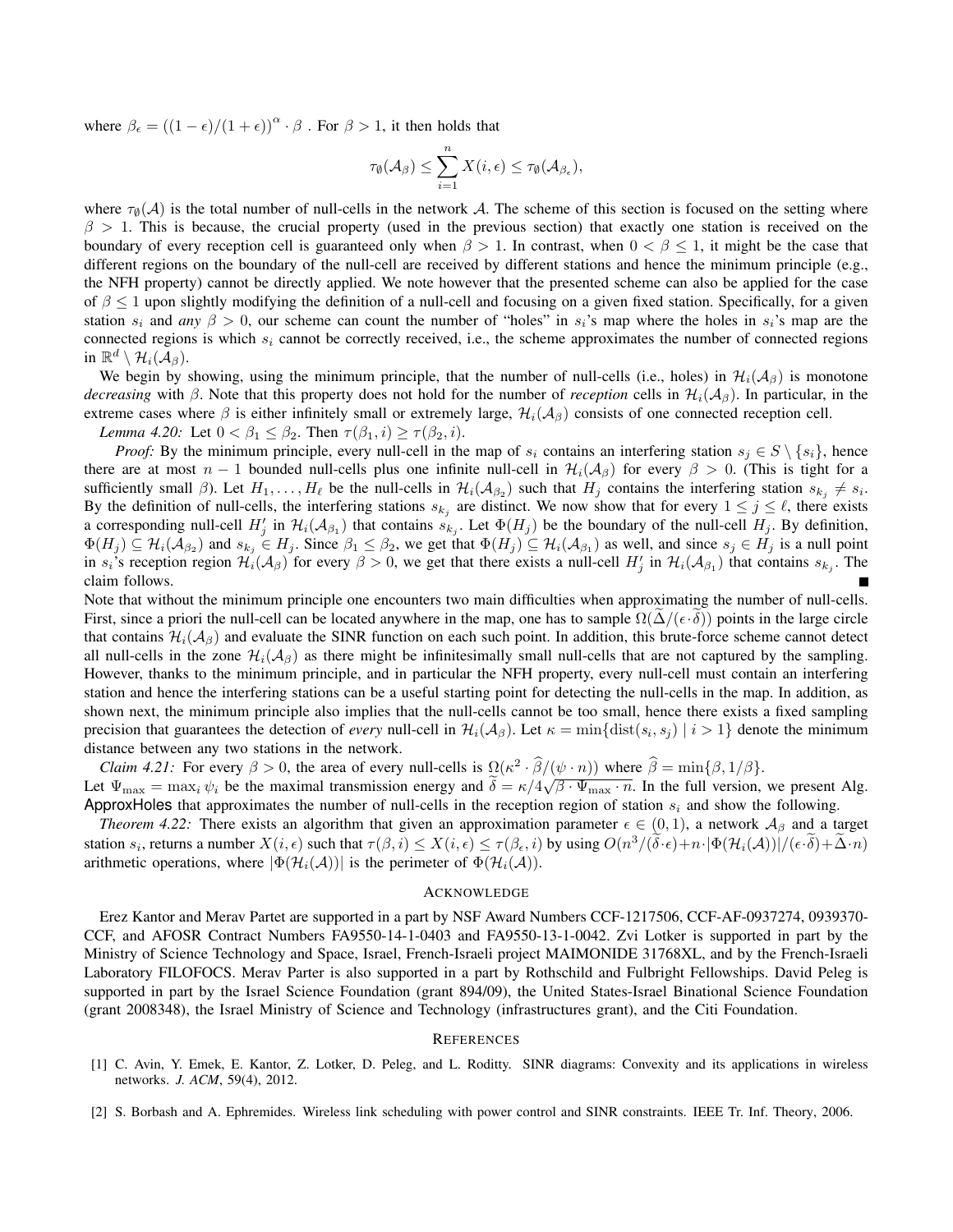where  $\beta_{\epsilon} = ((1 - \epsilon)/(1 + \epsilon))^{\alpha} \cdot \beta$ . For  $\beta > 1$ , it then holds that

$$
\tau_{\emptyset}(\mathcal{A}_{\beta}) \leq \sum_{i=1}^n X(i,\epsilon) \leq \tau_{\emptyset}(\mathcal{A}_{\beta_{\epsilon}}),
$$

where  $\tau_{\emptyset}(\mathcal{A})$  is the total number of null-cells in the network A. The scheme of this section is focused on the setting where  $\beta > 1$ . This is because, the crucial property (used in the previous section) that exactly one station is received on the boundary of every reception cell is guaranteed only when  $\beta > 1$ . In contrast, when  $0 < \beta < 1$ , it might be the case that different regions on the boundary of the null-cell are received by different stations and hence the minimum principle (e.g., the NFH property) cannot be directly applied. We note however that the presented scheme can also be applied for the case of  $\beta$  < 1 upon slightly modifying the definition of a null-cell and focusing on a given fixed station. Specifically, for a given station  $s_i$  and *any*  $\beta > 0$ , our scheme can count the number of "holes" in  $s_i$ 's map where the holes in  $s_i$ 's map are the connected regions is which  $s_i$  cannot be correctly received, i.e., the scheme approximates the number of connected regions in  $\mathbb{R}^d \setminus \mathcal{H}_i(\tilde{\mathcal{A}}_{\beta}).$ 

We begin by showing, using the minimum principle, that the number of null-cells (i.e., holes) in  $\mathcal{H}_i(\mathcal{A}_\beta)$  is monotone *decreasing* with β. Note that this property does not hold for the number of *reception* cells in Hi(Aβ). In particular, in the extreme cases where  $\beta$  is either infinitely small or extremely large,  $\mathcal{H}_i(\mathcal{A}_{\beta})$  consists of one connected reception cell.

*Lemma 4.20:* Let  $0 < \beta_1 \leq \beta_2$ . Then  $\tau(\beta_1, i) \geq \tau(\beta_2, i)$ .

*Proof:* By the minimum principle, every null-cell in the map of  $s_i$  contains an interfering station  $s_j \in S \setminus \{s_i\}$ , hence there are at most  $n-1$  bounded null-cells plus one infinite null-cell in  $\mathcal{H}_i(\mathcal{A}_{\beta})$  for every  $\beta > 0$ . (This is tight for a sufficiently small  $\beta$ ). Let  $H_1, \ldots, H_\ell$  be the null-cells in  $\mathcal{H}_i(\mathcal{A}_{\beta_2})$  such that  $H_j$  contains the interfering station  $s_{k_j} \neq s_i$ . By the definition of null-cells, the interfering stations  $s_{k_j}$  are distinct. We now show that for every  $1 \leq j \leq \ell$ , there exists a corresponding null-cell  $H'_j$  in  $\mathcal{H}_i(\mathcal{A}_{\beta_1})$  that contains  $s_{k_j}$ . Let  $\Phi(H_j)$  be the boundary of the null-cell  $H_j$ . By definition,  $\Phi(H_j) \subseteq \mathcal{H}_i(\mathcal{A}_{\beta_2})$  and  $s_{k_j} \in H_j$ . Since  $\beta_1 \leq \beta_2$ , we get that  $\Phi(H_j) \subseteq \mathcal{H}_i(\mathcal{A}_{\beta_1})$  as well, and since  $s_j \in H_j$  is a null point in  $s_i$ 's reception region  $\mathcal{H}_i(\mathcal{A}_\beta)$  for every  $\beta > 0$ , we get that there exists a null-cell  $H'_j$  in  $\mathcal{H}_i(\mathcal{A}_{\beta_1})$  that contains  $s_{k_j}$ . The claim follows.

Note that without the minimum principle one encounters two main difficulties when approximating the number of null-cells. First, since a priori the null-cell can be located anywhere in the map, one has to sample  $\Omega(\Delta/(\epsilon \cdot \delta))$  points in the large circle that contains  $\mathcal{H}_i(\mathcal{A}_\beta)$  and evaluate the SINR function on each such point. In addition, this brute-force scheme cannot detect all null-cells in the zone  $\mathcal{H}_i(\mathcal{A}_\beta)$  as there might be infinitesimally small null-cells that are not captured by the sampling. However, thanks to the minimum principle, and in particular the NFH property, every null-cell must contain an interfering station and hence the interfering stations can be a useful starting point for detecting the null-cells in the map. In addition, as shown next, the minimum principle also implies that the null-cells cannot be too small, hence there exists a fixed sampling precision that guarantees the detection of *every* null-cell in  $\mathcal{H}_i(\mathcal{A}_\beta)$ . Let  $\kappa = \min\{\text{dist}(s_i, s_j) \mid i > 1\}$  denote the minimum distance between any two stations in the network.

*Claim 4.21:* For every  $\beta > 0$ , the area of every null-cells is  $\Omega(\kappa^2 \cdot \hat{\beta}/(\psi \cdot n))$  where  $\hat{\beta} = \min{\{\beta, 1/\beta\}}$ .

Let  $\Psi_{\text{max}} = \max_i \psi_i$  be the maximal transmission energy and  $\tilde{\delta} = \kappa/4\sqrt{\beta \cdot \Psi_{\text{max}} \cdot n}$ . In the full version, we present Alg. ApproxHoles that approximates the number of null-cells in the reception region of station  $s_i$  and show the following.

*Theorem 4.22:* There exists an algorithm that given an approximation parameter  $\epsilon \in (0,1)$ , a network  $\mathcal{A}_{\beta}$  and a target station  $s_i$ , returns a number  $X(i, \epsilon)$  such that  $\tau(\beta, i) \leq X(i, \epsilon) \leq \tau(\beta_{\epsilon}, i)$  by using  $O(n^3/(\tilde{\delta} \cdot \epsilon) + n \cdot |\Phi(\mathcal{H}_i(\mathcal{A}))|/(\epsilon \cdot \tilde{\delta}) + \tilde{\Delta} \cdot n)$ arithmetic operations, where  $|\Phi(\mathcal{H}_i(\mathcal{A}))|$  is the perimeter of  $\Phi(\mathcal{H}_i(\mathcal{A}))$ .

### **ACKNOWLEDGE**

Erez Kantor and Merav Partet are supported in a part by NSF Award Numbers CCF-1217506, CCF-AF-0937274, 0939370- CCF, and AFOSR Contract Numbers FA9550-14-1-0403 and FA9550-13-1-0042. Zvi Lotker is supported in part by the Ministry of Science Technology and Space, Israel, French-Israeli project MAIMONIDE 31768XL, and by the French-Israeli Laboratory FILOFOCS. Merav Parter is also supported in a part by Rothschild and Fulbright Fellowships. David Peleg is supported in part by the Israel Science Foundation (grant 894/09), the United States-Israel Binational Science Foundation (grant 2008348), the Israel Ministry of Science and Technology (infrastructures grant), and the Citi Foundation.

#### **REFERENCES**

- [1] C. Avin, Y. Emek, E. Kantor, Z. Lotker, D. Peleg, and L. Roditty. SINR diagrams: Convexity and its applications in wireless networks. *J. ACM*, 59(4), 2012.
- [2] S. Borbash and A. Ephremides. Wireless link scheduling with power control and SINR constraints. IEEE Tr. Inf. Theory, 2006.